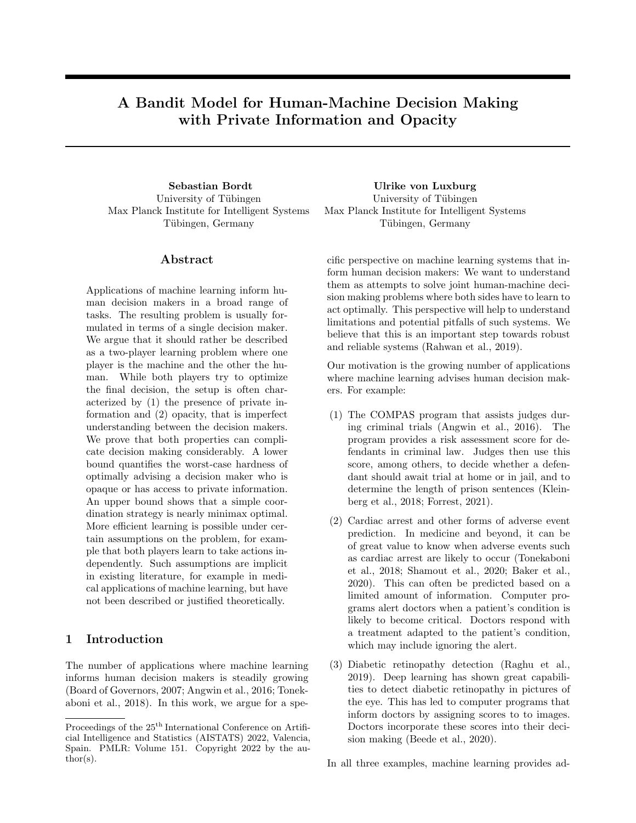# A Bandit Model for Human-Machine Decision Making with Private Information and Opacity

University of Tübingen Max Planck Institute for Intelligent Systems Tübingen, Germany

### ${\rm Abstract}$

Applications of machine learning inform human decision makers in a broad range of tasks. The resulting problem is usually formulated in terms of a single decision maker. We argue that it should rather be described as a two-player learning problem where one player is the machine and the other the human. While both players try to optimize the final decision, the setup is often characterized by (1) the presence of private information and (2) opacity, that is imperfect understanding between the decision makers. We prove that both properties can complicate decision making considerably. A lower bound quantifies the worst-case hardness of optimally advising a decision maker who is opaque or has access to private information. An upper bound shows that a simple coordination strategy is nearly minimax optimal. More efficient learning is possible under certain assumptions on the problem, for example that both players learn to take actions independently. Such assumptions are implicit in existing literature, for example in medical applications of machine learning, but have not been described or justified theoretically.

### 1 Introduction

The number of applications where machine learning informs human decision makers is steadily growing (Board of Governors, 2007; Angwin et al., 2016; Tonekaboni et al., 2018). In this work, we argue for a spe-

Sebastian Bordt Ulrike von Luxburg University of Tübingen Max Planck Institute for Intelligent Systems Tübingen, Germany

> cific perspective on machine learning systems that inform human decision makers: We want to understand them as attempts to solve joint human-machine decision making problems where both sides have to learn to act optimally. This perspective will help to understand limitations and potential pitfalls of such systems. We believe that this is an important step towards robust and reliable systems (Rahwan et al., 2019).

> Our motivation is the growing number of applications where machine learning advises human decision makers. For example:

- (1) The COMPAS program that assists judges during criminal trials (Angwin et al., 2016). The program provides a risk assessment score for defendants in criminal law. Judges then use this score, among others, to decide whether a defendant should await trial at home or in jail, and to determine the length of prison sentences (Kleinberg et al., 2018; Forrest, 2021).
- (2) Cardiac arrest and other forms of adverse event prediction. In medicine and beyond, it can be of great value to know when adverse events such as cardiac arrest are likely to occur (Tonekaboni et al., 2018; Shamout et al., 2020; Baker et al., 2020). This can often be predicted based on a limited amount of information. Computer programs alert doctors when a patient's condition is likely to become critical. Doctors respond with a treatment adapted to the patient's condition, which may include ignoring the alert.
- (3) Diabetic retinopathy detection (Raghu et al., 2019). Deep learning has shown great capabilities to detect diabetic retinopathy in pictures of the eye. This has led to computer programs that inform doctors by assigning scores to to images. Doctors incorporate these scores into their decision making (Beede et al., 2020).

In all three examples, machine learning provides ad-

Proceedings of the  $25<sup>th</sup>$  International Conference on Artificial Intelligence and Statistics (AISTATS) 2022, Valencia, Spain. PMLR: Volume 151. Copyright 2022 by the au- $\text{thor}(s)$ .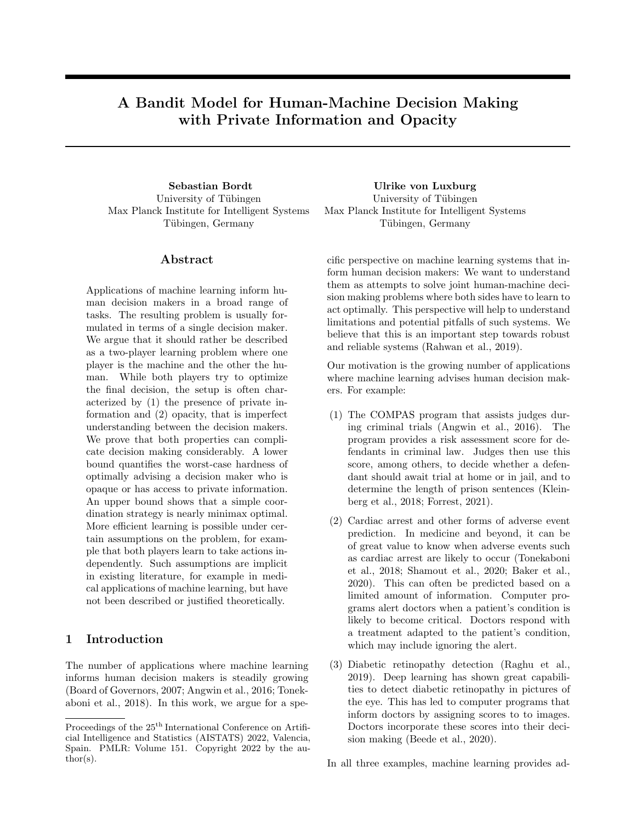

Figure 1: Illustrated application of our model: The computer is advising a human doctor. The computer recommends to perform action A or B. After consulting her additional private information, the human finally decides to perform action B.

vice, but final decisions are left to the human. Moreover, human decision makers base their decisions on additional private information that is unavailable to the machine. In the COMPAS example, the judge obtains additional information from the trail and the interaction with the defendant, attorney and prosecutor (Lakkaraju et al., 2017). In the medical example, private information might consist of non-digitized parts of the patient's medical history, or diseases that run in the family of the patient (Goldenberg and Engelhardt, 2019). Even in the diabetic retinopathy example, the final treatment decision is typically based on more information than just the picture of the eye.

In addition to the presence of private information, it has long been argued that human-machine cooperation is hampered by a certain degree of opacity (Leonelli, 2020). Indeed, despite a lot of work on explainable machine learning, computers cannot explain their decisions to humans the way other humans can, and computers cannot really understand free-form human explanations.

How can we design computer programs that optimally advise human decision makers in tasks such as (1)-(3)? What does "optimally" even mean in these contexts? To provide precise answers to these questions, we propose a contextual bandit model with two players that aims to capture the most important properties of the above decision problems.

The two players in our model, who we refer to as "the human" and "the machine", interact according to the following protocol (illustrated in Figure 1). In every round, the first player (the machine) receives private contextual information and makes a recommendation to the second player (the human). This recommendation can be a suggested action, but it can also be a confidence region, a colorfully highlighted image or any other summary of the received context. In the COMPAS example, the recommendation is the risk assessment score. Given the recommendation and her own private contextual information, the human finally decides on an action. Conditional on context and the chosen action, a reward signal is obtained. Action and reward are observed by both players, and they share the same goal: to maximize the obtained rewards.

We endow each of the players with a finite set of decision rules or policies, which is the simplest possible learning setting. The goal is to minimize the minimax regret with respect to the two decision rules that work best together. We first analyze the case where the human does not attempt to learn (Section 4). However, we believe that the fact that human decision makers have to learn how to "interpret" machine recommendations is a crucial aspect of human-machine decision making. In cardiac arrest prediction, for example, doctors have reported to learn over time how to interpret machine alerts and integrate them into existing clinical practice. We therefore also consider the problem where human and machine both have to learn (Section 5).

The main objective of this paper is to gain a theoretical understanding of an emerging number of human-machine decision making problems, such as (1)-(3). By considering the interaction between two abstract decision makers in the presence of private information and opacity, we aim to provide a general analysis of the potential and limitations of humanmachine decision making. While our main intention is to set a theoretical baseline for more applied work in human-machine interaction, we also hope that our proposed model and newly introduced problems will spark theoreticians interest into various aspects of the human-machine learning problem. Our main contributions are the following.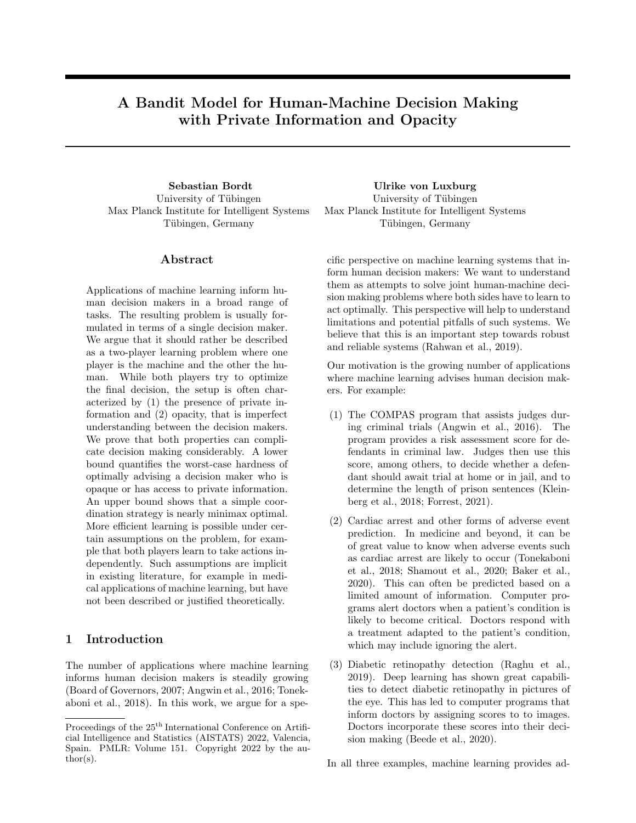- We prove that private information and opacity significantly impact the hardness of two-player decision making. Private information and opacity each lead to a worst-case *lower bound* of order  $\sqrt{TN_1}$  (Theorem 3). Here  $N_1$  is the number of policies of the first player. Without private information and opacity, the two players can obtain an efficient expected regret of  $\sqrt{2TK\ln(N_1N_2)}$ (Proposition 1). Here  $N_2$  is the number of policies of the second player.
- We show that a simple coordination device telling the machine which policy to use – allows the human to learn efficiently. Specifically, the P2-EXP4 algorithm allows to *upper bound* the expected minimax regret by  $\sqrt{2TKN_1 \ln(N_1N_2)}$ (Theorem 4), also in the presence of private information and opacity.
- We derive a criterion policy space independence – that allows to learn with an expected regret of  $\sqrt{8T \max\{K, |\mathcal{R}|\}\ln(\max\{N_1, N_2\})}$  (Theorem 6). Here  $|\mathcal{R}|$  is the number of possible machine recommendations. If policy space independence holds and  $|\mathcal{R}|$  is small, the two players can learn efficiently.
- In Sections 6 and 7, we show that various approaches in the literature can be better understood within the context of our model. In particular, policy space independence is implicit in much of the existing literature. The peculiar case of treatment recommendations is left as Conjecture 7.

### 2 Our model: The computer reports to the human, who then decides

Formally, our model is a contextual bandit model with two players, depicted in Figure 2. In round  $t = 1, \ldots, T$ , Player 1 (the machine) first observes context  $x_t \in \mathcal{X}$ . Player 1 then chooses a recommendation  $r_t \in \mathcal{R}$ , potentially at random. Here,  $\mathcal{R}$  is the space of all possible recommendations that the first player can make. Next, Player 2 (the human) observes context  $z_t \in \mathcal{Z}$  and the chosen recommendation  $r_t$ . Player 2 then, potentially at random, chooses an action  $a_t \in A$ . This action is revealed to both players, and they receive a reward signal  $y_t \in [0,1]$ . Here X and Z are arbitrary spaces of private contexts (one for each player), and  $A = \{1, \ldots, K\}$  is a finite set of K actions.

#### 2.1 Formal setup

Both players are endowed with a finite set of policies. Their common goal is to take optimal actions. Let

- In round  $t = 1, ..., T$
- 1. Context  $x_t \in \mathcal{X}$  is revealed to Player 1
- 2. Player 1 decides on a recommendation  $r_t \in \mathcal{R}$
- 3. Context  $z_t \in \mathcal{Z}$  and recommendation  $r_t$  are revealed to Player 2
- 4. Player 2 decides on an action  $a_t \in A$
- 5. Reward  $y_t \in [0, 1]$  and action  $a_t$  are revealed to both players

Figure 2: Interaction in our contextual bandit model.

 $\Pi_1 \subseteq \mathcal{R}^{\times}$  be a finite set of policies for the first player, and  $\Pi_2 \subseteq A^{\mathcal{R} \times \mathcal{Z}}$  a finite set of policies for the second player. Given two policies  $f \in \Pi_1$  and  $g \in \Pi_2$ , we obtain the resulting joint policy  $\pi(x, z) = g(f(x), z)$ . This joint policy is a complete decision rule for the problem, translating context into actions. Let  $\Pi =$  $\Pi_2 \times \Pi_1$  be the space of all combinations of policies that the two players can possibly realize. For a tuple  $\pi = (q, f) \in \Pi$ , we slightly abuse notation and write  $\pi(x, z) = g(f(x), z)$  to refer to the corresponding joint policy.<sup>1</sup> Moreover, we denote the number of policies  $N_1 = |\Pi_1|$  and  $N_2 = |\Pi_2|$ . We have  $N = |\Pi| = N_1 N_2$ .

An algorithm for the two players is a pair  $A =$  $(A_1, A_2)$ . Here  $A_1 = (A_{1,t})_{t=1}^T$  and  $A_2 = (A_{2,t})_{t=1}^T$ are two collections of measurable functions that specify the decision rules of both players at all points in time. The domains of these functions specify which variables are observable to which player at what time. Thus,  $A_{1,t}$  is a function of  $x_1, \ldots, x_t$ , whereas  $A_{2,t}$  is a function of  $r_1, \ldots, r_t$  and  $z_1, \ldots, z_t$ . The details of this can be found in Supplement A.1.

Let D be a probability distribution over  $\mathcal{X} \times \mathcal{Z} \times [0, 1]^A$ . We consider an i.i.d. contextual bandit model where tuples  $(x_t, z_t, Y_t)$  are i.i.d. draws from D. Let  $Y(\pi) =$  $E_{(x,z,Y)}$   $D[Y(\pi(x,z))]$  be the expected reward of a joint policy  $\pi$ . Let  $\pi^* \in \arg \max_{\pi \geq \Pi} Y(\pi)$  be a policy combination that maximizes the expected reward. The expected regret after  $T$  rounds is given by  $\text{Reg}_T = \mathbb{E}\left[ T Y(\pi^*) - \sum_{t=1}^T Y_t(a_t) \right]$ , where the expectation is over  $D$  and the randomly selected actions and recommendations. The central quantity of analysis is the minimax regret, given by  $R_T =$  $\inf_{A} \sup_{D} \sup_{\prod_{i=1}^N \in \mathbb{N}_1} \sup_{\prod_{i=1}^N \in \mathbb{N}_2} \text{Reg}_T.$ 

<sup>&</sup>lt;sup>1</sup>Depending on  $\Pi_1$  and  $\Pi_2$ , different tuples  $(g, f)$  can give rise to the same policy  $\pi : X \quad \mathbb{Z}$ ! A.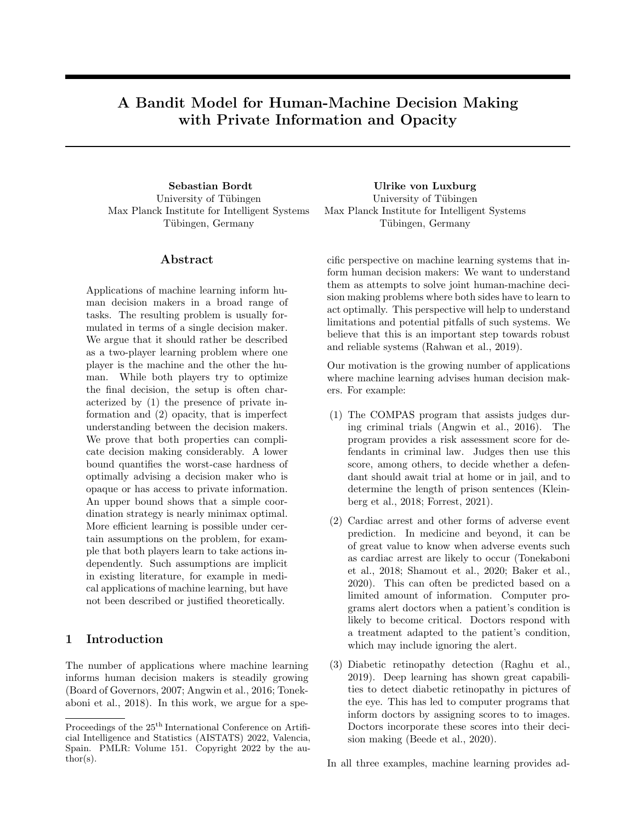### 2.2 First thoughts and discussion of modelling assumptions

Private context. This is our approach to model private information. In real-world decision making problems such as  $(1)-(3)$ , humans often have access to information that is not available to any algorithm. A reason for this might be that some information, such a detailed health record, is not yet available in electronic form. However, we also believe that in many of the tasks where machine learning is increasingly being deployed at, formulating all relevant aspects as inputs to an algorithm is impossible. This is because machine learning is increasingly being deployed in social contexts where researchers have long accepted the fact that its impossible to exhaustively collect all relevant variables (Angrist and Pischke, 2008). Our model also allows for private contextual information of the machine. In the medical domain, an algorithm might have access to a patient's genome data, which could never be entirely surveyed by a human. Unobserved variables might also occur in unexpected situations, such as when both decision makers coordinate a decision based on the same image. Here algorithms have been shown to rely on high-frequency patterns that are imperceptible to humans (Ilyas et al., 2019; Makino et al., 2020).

Private policy spaces. We model opacity by keeping knowledge about the policy spaces to the respective players. Intuitively, this means that the players cannot deliberate about what happened: The machine does not know which actions the human would have chosen had it chosen a different recommendation. Similarly, the human does not know which recommendations the machine considered but decided against. While policy spaces are private, we place no restrictions on the algorithms that both players might run.

The space of recommendations. The space of recommendations  $\mathcal R$  is the interface by which the first player can transmit information to the second player (Goodrich and Schultz, 2007). For the first player, it plays the role of an action space (providing a recommendation is the action that the first player takes). For the second player, it resembles additional contextual information. In the analysis, will turn out to be useful to restrict the size of the space of recommendations (Section 6). A large space of recommendations allows the machine to provide the human with rich contextual information. This includes the scenario where the machine attempts to "explain" predictions in some rich space. A concrete example of this would be when the machine provides a saliency map (Simonyan et al., 2014; Selvaraju et al., 2017). In contrast, a small space of recommendations allows the machine to suggest concrete actions, or to raise an alert. A priori, it seems unclear which of these two approaches will be more useful. On one hand, we might want the machine to provide the human with as much information as possible. On the other hand, it might be more efficient if the machine directly suggests which actions to perform. In Sections 3-5, we remain agnostic about the nature of the space of recommendations. The special case of treatment recommendations is discussed in Section 7.

What makes the model difficult? For both players, the difficulty arises from the fact that contextual information and policy space of the other player are unknown. This gives rise to a *coordination problem*. Each player would like to find the optimal policy that works best in combination with the strategy chosen by the other player. This is difficult because knowledge about the other player's decision problem is limited.

Online learning. Our model is an online learning model. This allows us to study the process by which the two decision makers coordinate and arrive at decisions. In practice, an algorithm would always be trained on a historical dataset before it starts to interact with a human decision maker. However, if we continuously gather data in order to retrain and improve our algorithm, we are implicitly engaging in an online learning procedure. We are directly considering an online learning model since this allows us to study the principal limitations and possibilities of various approaches. For more details on online and repeated supervised learning we refer the reader to Supplement E.

Worst-case analysis. Intuitively, a strategy of the two players might work well for some decision problems and fail for others. Considering the minimax regret means that we would like to find guarantees that can be achieved under all possible circumstances. That said, it is interesting to ask how much better the two players can do if we assume that the decision problem is 'benign' – a question that we turn to in Section 6.

## 3 Two baselines for the expected regret

How well can we expect the two players to coordinate, and what are the consequences of private information and opacity for two-player decision making? To provide answers to these questions, we are first going to consider our model without private information and opacity. No private information means that  $\mathcal{X} = \mathcal{Z}$ and  $x_t = z_t$  for all t. No opacity means that the algorithm of the first player is also a function of the policy space of the second player and vice-versa.

Proposition 1. (Regret without private information and opacity) Without private information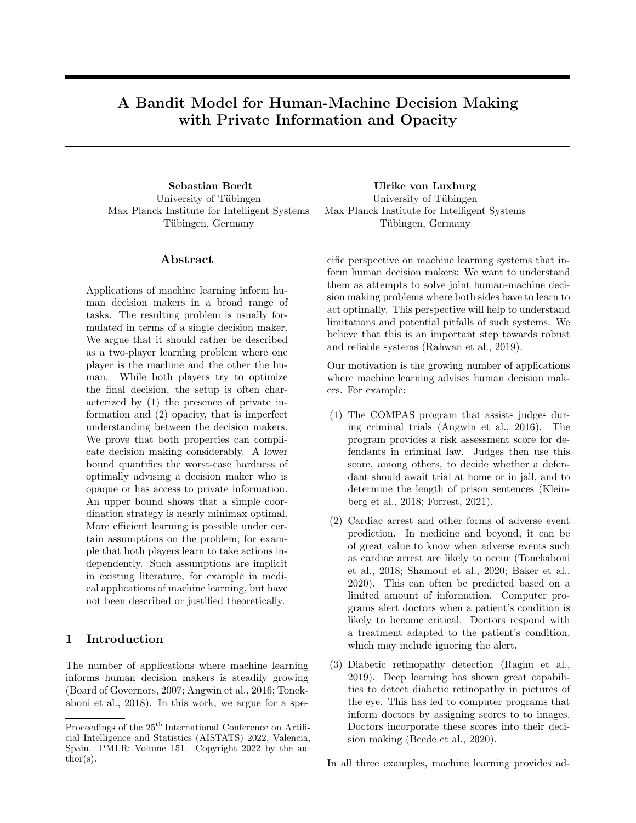and opacity, the two players can obtain an expected regret of

$$
\sqrt{2TK\ln(N_1N_2)}.
$$

All proofs are deferred to the Supplement. The regret bound in Proposition 1 is as good as we can expect at all.<sup>2</sup> It is the same regret that would be achieved by a hypothetical single decision maker who had access to all contextual information and both policy spaces, using EXP4 (Auer et al., 2002; Lattimore and Szepesvari, 2019). Proposition 1 demonstrates that our hardness result (Theorem 3) is a consequence of private information and opacity, and not due to the way in which the two players interact in our model.

A second baseline is given by the coordination strategy where players naively try all policy combinations. This strategy also works with private information and opacity. Using the MOSS algorithm by Audibert and Bubeck (2010):

Proposition 2. (Naively trying all policy com**binations)** By treating the policies in  $\Pi$  as dierent arms of a stochastic bandit, we obtain

$$
R_T \leq O\left(\sqrt{TN_1N_2}\right).
$$

Under private information and opacity, can the two players do better than what is suggested by Proposition 2? The question becomes whether it is possible to move  $N_1$  and  $N_2$  inside the logarithm, at the expense of a factor of  $K$ . Why is this important? A regret or a ractor or  $K$ . Why is this important? A regret bound of order  $\sqrt{N}$  means that the policy space is not dealt with efficiently. It corresponds to systematic trial and error on every single policy. Quite to the contrary, and error on every single policy. Quite to the contrary,<br>a regret bound of order  $\sqrt{\ln N}$  means that the decision maker can compare many policies simultaneously. It prepares the way to deal with infinite policy spaces and learn rich function classes (Beygelzimer et al., 2010).

## 4 A lower bound for optimal algorithmic advice

Before we turn to the full problem where human and machine both have to learn, we focus on the problem of the machine. That is we assume that the human does not have to learn how to interpret machine recommendations. This is a significant simplification, but the result will be instructive. We are going to show that private information and opacity each lead to a that private informat<br>lower of order  $\sqrt{TN_1}$ .

Formally, we assume that the second player follows a fixed decision rule that deterministically translates recommendations  $r_t$  and contextual information  $z_t$  into actions. The first player has  $N_1$  different policies and wants to learn the best one. How difficult is this learning problem? Note that we do not place any restrictions on the space of recommendations  $R$ . However, the ultimate number of actions  $K$  is small. Can the first player make use of this fact and solve the problem efficiently? In the presence of private information or opacity, this is not the case.

Theorem 3. (Lower bound in the number of policies of the first player) Assume that Player 2 only plays actions that are suggested by policies in  $\Pi_2$ . Let  $N_2 = 1$  and  $K = 2$ . There exists a universal constant  $c > 0$  such that

$$
R_T \ge c\sqrt{TN_1}.
$$

The lower bound in Theorem 3 is as strong as it can possibly be. It shows that the first player has to solve a bandit problem that depends not on the number of actions  $K$ , but on the number of policies  $N_1$ .

Supplement A.4 contains two proofs of Theorem 3. The first proof constructs problem instances with private information but without opacity, and the second proof constructs problem instances with opacity but without private information.<sup>3</sup> In conclusion, both private information and opacity can significantly impact on the hardness of two-player decision making.

Remark 1. The reader might be worried by the fact that we fixed Player 2. Indeed, even if the policy space of the second player consists of a single decision rule, it might be optimal to deviate in order to facilitate coordination. To alleviate such concerns, Supplement C presents a problem class that allows the second player to choose actions arbitrarily. We discuss the general issue of encoding information about the policy spaces in actions and recommendations in Supplement F.

## 5 Efficient learning for a human who controls the machine

We now consider the full problem of human-machine learning where the human learns how to interpret machine recommendations. Intuitively, the human tries to figure out how to act on machine advice. At the same time, the machine tries to determine how to advise the human. How should the two players coordinate? Is it possible that both explore simultaneously?

<sup>2</sup> For adversarial contextual bandits, the bound  $\sqrt{TK \ln(N)}$  has been shown to be tight up to a factor of  $\ln K$  by Seldin and Lugosi (2016). Note that we are concerned with statistical optimality and set computational concerns aside.

<sup>&</sup>lt;sup>3</sup>From a theoretical perspective it might not be surprising that private information and opacity have the same consequences. Ultimately, what matters are the expert predictions that result from the interaction of context and policy (Cesa-Bianchi and Lugosi, 2006).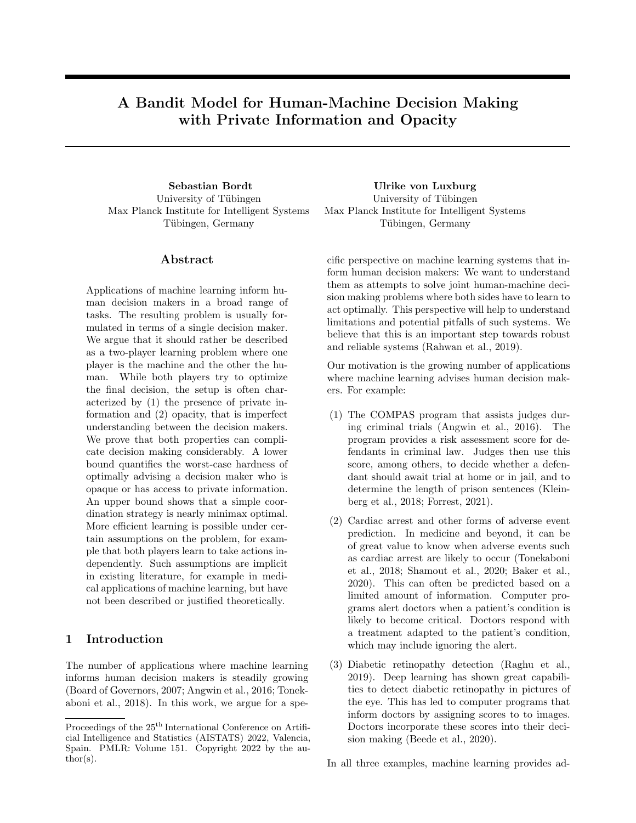Algorithm P2-EXP4 Parameters:  $\eta > 0, \gamma > 0$ **Initialization:**  $Q_1 \ 2 \ [0,1]^{N_1 \times N_2}$  with  $Q_{1,ij} = \frac{1}{N_1 N_2}$ For each  $t = 1, ..., T$ 

- 1. Player 2 tells Player 1 to play policy  $i_t$  according to  $q_{ti} = \sum_{j=1}^{N_2} Q_{t,ij}$
- 2. Player 1 recommends  $r_t = f_{i_t}(x_t)$
- 3. Player 2 chooses action  $a_t$  according to (1)
- 4. Players receive reward  $y_t$  and Player 2 estimates  $\hat{y}_{tk} = 1 - \frac{1_{\{a_t = k\}}}{q_{t,i_t} p_{tk} + \gamma} (1 - y_t)$
- 5. Player 2 propagates rewards to policies  $\hat{Y}_{t,ij} = 1_{\{i_t \neq i\}} + 1_{\{i_t=i\}} \hat{y}_{t,g_j(r_t,z_t)}$
- 6. Player 2 updates  $Q_t$  using exponential weighting

$$
Q_{t+1,ij} = \frac{\exp(\eta \hat{Y}_{t,ij})Q_{t,ij}}{\sum_{l,m} \exp(\eta(\hat{Y}_{t,lm})Q_{t,lm})}
$$

Figure 3: The P2-EXP4 algorithm allows the second player to explore efficiently.

From Theorem 3 in the previous section, we already know that the learning problem of the machine is hard, even if the human sticks to a single policy. We are now going to show that a simple coordination device allows the human to explore efficiently: We allow the human to tell the machine which policy to use. Intuitively, we can perceive the  $N_1$  different policies of the machine as different computer programs. The human tries to learn which of these computer programs to use. In doing so, the human can explore with exponential weighting, but only on its own policy space, and not on the policy space of the machine. This idea is formalized in the P2-EXP4 (Player 2-EXP4) algorithm, depicted in Figure 3. Theorem 4 shows that P2-EXP4 nearly allows to match the lower bound in Theorem 3.

Theorem 4. (Logarithmic regret in the number of policies of the second player) The P2-EXP4 algorithm with  $\eta=\sqrt{2\log(N_1N_2)/(TKN_1)}$  and  $\gamma=0$ satis es

$$
R_T \le \sqrt{2TKN_1\ln(N_1N_2)}.
$$

The proof of Theorem 4 is in Supplement A.5. We now describe the algorithm. Player 2 maintains a probability distribution  $Q_t$  over the space of all policies Π. In every round t, Player 2 first chooses a policy  $f_{i_t}$  for Player 1 by drawing  $i_t$  from the marginal distribution of  $Q_t$  over  $\Pi_1$ . After obtaining a recommendation  $r_t$ and context  $z_t$ , Player 2 draws  $a_t$  according to the induced probability distribution over actions

$$
P(a_t = k) = p_{tk} \quad \text{with} \quad p_{tk} = \frac{\sum_{j=1}^{N_2} Q_{t,i_t,j} 1_{fg_j(r_t,z_t) = kg}}{\sum_{j=1}^{N_2} Q_{t,i_t,j}}
$$
(1)

.

With the reward signal  $y_t$ , Player 2 computes importance-weighted reward estimates for all policies and then uses an exponential weighting scheme to update  $Q_t$ .

Remark 2. The proof of Theorem 4 relies on the fact that the updates performed by P2-EXP4 are equivalent to the updates performed by EXP4 on a related bandit problem with  $KN_1$  actions. As a consequence, all results for EXP4 carry over to P2-EXP4. In particular, for  $\gamma > 0$ , P2-EXP4 is a variant of EXP4-IX (Neu, 2015). This implies that P2-EXP4 enjoys high-probability regret guarantees. Furthermore, Theorem 4 also holds when contexts and payoffs are determined by an adversary.

## 6 Efficient learning for the machine, subject to further assumptions

We now discuss additional assumptions on the structure of the problem that allow for more efficient learning. The first idea is to restrict the size of the space of recommendations  $R$ . If the machine directly recommends actions, for example, we have  $\mathcal{R} = A$ . The second idea is to resolve the coordination problem. This can be done via an assumption on the function spaces of both players that we term policy space independence. While policy space independence is an abstract criterion, we outline a number of practical examples where it is satisfied.

This section also relates our work to a number of recently proposed techniques for human-machine interaction (Madras et al., 2018; Raghu et al., 2019; Wilder et al., 2020). We will show that policy space independence is implicit in much of the existing literature on human-machine decision making.

#### 6.1 Policy space independence

We now give an abstract condition that resolves the coordination problem and allows both players to learn independently. It is an assumption on the policy spaces. The rationale is that assumptions on the policy spaces can implicitly define how human and machine interact.

Definition 5 (Policy space independence). We say that the two policy spaces  $\Pi_1$  and  $\Pi_2$  are independent with respect to D if, for all  $f_1, f_2 \in \Pi_1$  and all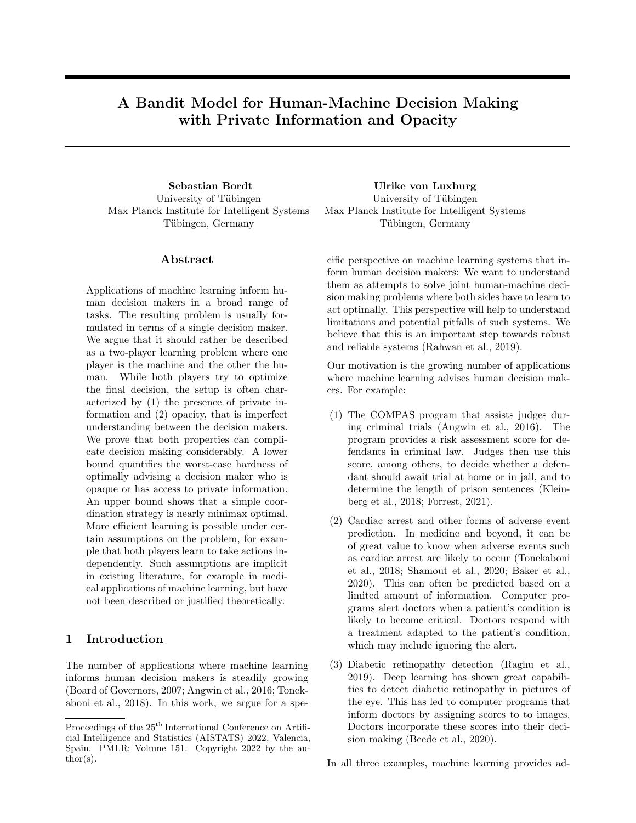$$
g_1, g_2 \in \Pi_2,
$$
  
\n
$$
Y(g_1(f_1(x), z)) - Y(g_1(f_2(x), z))
$$
  
\n
$$
= Y(g_2(f_1(x), z))) - Y(g_2(f_2(x), z)).
$$

Intuitively, whether policy  $f_1$  performs better than policy  $f_2$  does not depend on the policy chosen by the second player. Similarly, whether policy  $g_1$  performs better than policy  $g_2$  does not depend on the policy chosen by the first player. Hence, the learning problems of both players are decoupled. The following theorem shows that policy space independence allows to efficiently learn both policy spaces.

Theorem 6 (Logarithmic regret under policy space independence). Under policy space independence, if both players explore independently using EXP4,

$$
R_T \le \sqrt{8T \max\{K, |\mathcal{R}|\} \ln(\max\{N_1, N_2\})}.
$$

The proof of Theorem 6 is in Supplement A.6. In contrast to Theorem 4, both  $N_1$  and  $N_2$  appear inside the logarithm. This is at the expense of a factor  $|\mathcal{R}|$ .

### 6.2 Allocating decisions between human and machine

If  $|\mathcal{R}|$  is small and policy space independence holds, the two players can obtain an efficient expected regret (Theorem 6). But what does this amount to in practice? First note that we can constrain the policy space of the human by specifying rules for how to interact with the machine. For example: "If the machine depicts 'action  $a$ ', then perform action  $a$ <sup>"</sup>. This leads to the following example: Policy space independence holds when there exists a fixed rule that allocates every decision to either the human or the machine. In medical applications, this would mean that there exists some procedure that determines whether a given case should be decided by the doctor or the machine. For diabetic retinopathy detection, such a procedure was recently proposed by Raghu et al. (2019), who also demonstrate that the approach can lead to substantial benefits in practice. In our model, the rule can be any predicate  $P(z)$ , that is the human decides who decides. It can also be any predicate  $P(x)$ , that is the machine decides who decides. Importantly, in order to satisfy policy space independence, the rule cannot be learned while the decision makers learn themselves. We formally show in Supplement B how fixed rules that allocate decisions result in policy space independence.

#### 6.3 Learning to defer

Another example of policy space independence is given by learning to defer (Madras et al., 2018; Mozannar and Sontag, 2020). Learning to defer is characterized by two assumptions. First, the human is a fixed decision maker who does not learn. Second, the space of recommendations is given by  $\mathcal{R} = \mathcal{A} \cup \{0\}$ , where D denotes that the decision is deferred to the human. As can be seen from Definition 5, fixing any of the two decision makers always results in policy space independence. According to Theorem 6, the regret of learning to defer is thus bounded by  $\sqrt{8T(K + 1)\ln(N_1)}$ .<sup>4</sup>

#### 6.4 Other approaches

With some notable exceptions (Hilgard et al., 2019), the literature on human-machine decision making often relies on assumptions similar to fixed rules that allocate decisions and learning to defer (De et al., 2020a,b). It is usually assumed that the human is a fixed decision maker whose performance on the given task can be queried or deferred to (Wilder et al., 2020; Pradier et al., 2021). Specifically, the human does not have to learn how to interact with the machine. Moreover, machine recommendations usually equal actions, with some room for special recommendations in order to involve the human. Viewed through the lens of our model, all of these approaches satisfy policy space independence. In light of Theorem 6, they all allow for efficient learning.

## 7 How difficult are treatment recommendations?

In the last section, we have seen that the learning problem of the machine can be simplified by (1) choosing  $\mathcal{R} = \mathcal{A}$  and (2) fixing the human decision maker. In Section 4, we have seen that the condition  $\mathcal{R} = \mathcal{A}$  is crucial (after all, the lower bound was derived for a fixed human decision maker). But is it equally necessary to choose  $|\Pi_2| = 1$ ? This is interesting because  $\mathcal{R} = \mathcal{A}$  is satisfied, among others, in screening scenarios. These are the binary classification problems studied in the literature on fairness and machine learning (Kleinberg et al., 2019; Barocas et al., 2019). Here a decision problem might be whether to give a loan or to admit a student to a university. It is often argued that such machine suggestion should still be reviewed by humans (De-Arteaga et al., 2020).

In our model, binary predictions that are reviewed by humans correspond to  $\mathcal{R} = A = \{0, 1\}$  and  $|\Pi_2| > 1$ (assuming that the human learns when to override machine predictions). If either  $N_1 = 1$  or  $N_2 = 1$ , EXP4 allows to bound the expected regret by  $\sqrt{4T \ln(N_2)}$ and  $\sqrt{4T \ln(N_1)}$ , respectively. Therefore, consider the corner case  $N_1 = N_2$ . If we assume that the sec-

<sup>&</sup>lt;sup>4</sup>For  $N_2 = 1$ , the constant could be improved to 2.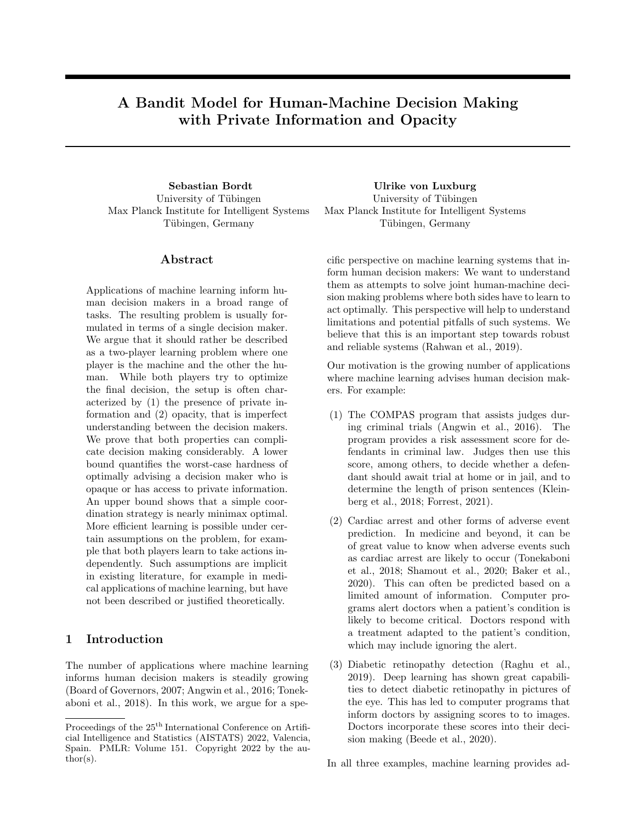ond player can tell the first player which policy to use, P2-EXP4 allows to bound the expected regret by  $\sqrt{8TN_1 \ln(N_1)}$ . We conjecture that this is tight up to a constant factor, i.e. that treatment recommendations are difficult.

Conjecture 7. (Lower bound in the number of policies if R and A are small) Let  $\mathcal{R} = A = \{0, 1\}$ and  $N_1 = N_2$ . We conjecture that there exists a universal constant  $c > 0$  such that

$$
R_T \ge c\sqrt{TN_1\ln N_1}.
$$

Supplement D details a problem instance that we believe to be worst-case.<sup>5</sup>

### 8 Related Literature

Researchers have long asked how humans can interact with computers and robots (Sheridan and Verplank, 1978; Goodrich and Schultz, 2007; Parasuraman et al., 2000). In machine learning, researchers increasingly study how humans and automated decision making systems can interact (Tonekaboni et al., 2019; Carroll et al., 2019; Lucic et al., 2020; De-Arteaga et al., 2020). A number of recent works have argued that joint human-machine decision making can outperform a single human or a single machine (Lakhani and Sundaram, 2017; Raghu et al., 2019; Patel et al., 2019). Human-computer interaction and the social sciences study the different ways in which machine recommendations can influence and alter human decisions (Dietvorst et al., 2015; Green and Chen, 2019).

Multi-player multi-armed bandits (Kalathil et al., 2014; Boursier and Perchet, 2019; Martínez-Rubio et al., 2019), economic game theory (Mas-Colell et al., 1995; Von Neumann and Morgenstern, 2007) and combinations thereof (Sankararaman et al., 2021) also study the interaction between multiple players. However, models in economic game theory are competitive, and the cooperative models in multi-player multiarmed bandits, often inspired by applications in wireless networks (Avner and Mannor, 2016), are symmetric. In contrast, interaction our model is cooperative and  $asymmetric - only the second player decides on$ a payoff-relevant action. Insofar as implicit communication between the two players is concerned, our work probably relates most closely to Bubeck et al. (2020), who study implicit communication in a symmetric collision problem (compare also Supplement F).

### 9 Discussion

The consequences of private information and opacity. We have shown that private information and opacity can have a significant effect on humanmachine decision making. In the worst-case, the machine cannot advance beyond simple trial and error on a small number of policies (Theorem 3). Does this imply that we can never obtain good results in general human-machine decision making problems where we cannot make plausible assumptions on the presence of private information and opacity? Not necessarily. It does, however, imply that we need good priors for what comprises successful human-machine cooperation on a given task. Note that in practice, researchers often obtain a small number of candidate machine policies from historical data, then evaluate which one works best with human decision makers (Sayres et al., 2019; Tschandl et al., 2020). This approach is closely related to running the P2-EXP4 algorithm: The policy space of the machine consists of the candidate decision rules that were obtained form historical data. In the absence of further assumptions about the problem, we show this approach to be essentially minimax optimal. In some applications, it might be relatively easy to come up with good machine policies. There are, however, also problems where it is hard say how the machine should best inform the human. Consider the example where the machine informs the human about an image: While there have been many empirically successful attempts at such problems, there is still a big debate about post-hoc explainability methods, what properties they should have, and whether they should be used at all (Adebayo et al., 2018; Rudin, 2019).

Different modalities of human-machine decision making. We have seen in Section 6 that our model possesses sufficient generality to analyze a wide array of interaction protocols between humans and machines. Of course, there are many different settings of human-machine decision making, and our model can only serve as first step towards a formal analysis. From a theoretical perspective, it remains an interesting open question whether there are weaker assumptions than policy space independence that allow for efficient learning (Theorem 6). One might also ask whether distributional assumptions that restrict the influence of unobserved variables on the outcome can result in improved bounds. From a practitioner's point of view, the most important question is which assumptions are plausibly satisfied in applications.

Prediction problems. In many decision support systems, machine learning is merely used to solve a specific prediction or classification problem, whose outcome is then transferred to the human. Examples are

<sup>&</sup>lt;sup>5</sup>The reader might wonder whether interaction terms between  $K$  and  $R$  appear in any bound. Beyond the special regime  $R = A = f0, 1g$  and  $N_1 = N_2$ , this might well be the case.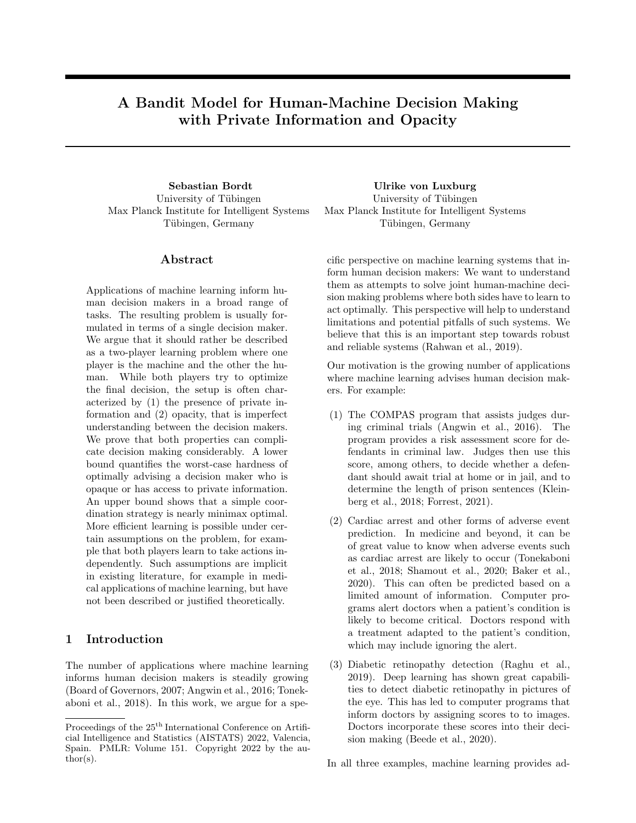scores to predict criminal recidivism, cardiac arrest and severity of diabetic retinopathy. While such an approach is a straightforward way of human-machine interaction, nothing guarantees that the approach will be successful. For example, there have been numerous concerns about the consequences of COMPAS scores on the decision making of judges (Forrest, 2021). In our view, the belief that the humans should be informed with the scores of a particular prediction problem is a very strong prior on the policy space of the machine: the policy space consists of a single policy. In order to credibly identify successful forms of humanmachine cooperation, we should however consider a variety of plausible machine policies, and also account for the fact that human decision makers have to learn how to interact with them. This is exactly the setting that we consider in this paper.

Human learning model. In our model, there are no constraints on the algorithm that the two players might run. We also remain entirely agnostic about the policy spaces of both players. This serve the purpose of generality and keeps our work closely aligned with the extant literature on contextual bandits. However, these two assumptions are also major simplifications, especially insofar as the human decision maker is concerned. Indeed, it is a well-known fact that humans are not perfectly rational decision makers and have problems to deal with probabilities (Gigerenzer and Kurzenhaeuser, 2005; Kahneman and Frederick, 2005). A human would not be able to correctly perform the updates prescribed by P2-EXP4, MOSS, or any other bandit algorithm for that matter. The results provided in this paper apply to two perfectly rational decision makers who have access to arbitrary computational and cognitive resources. Two decision makers who only have access to limited computational and cognitive resources might hope to achieve as much, but will in general not be able to do any better. Of course it is an interesting question to ask how specific behavioral assumptions on the the human decision maker, such as bounded rationality (Selten, 1990) or biases when dealing with machine recommendations (Green and Chen, 2019) influence optimal interaction. In the context of our model, such assumptions might take the form of assumptions on the policy space of the human, or the way in which the second decision maker selects policies in every round. This might be an interesting avenue for future research. Note, however, that in the context of our model, "the human" does not necessarily correspond to a single (biological) human. In most applications that we are interested in (compare (1)-(3) in Section 1), there are many different judges or doctors that interact with a given machine learning system. While these human decision makers certainly learn individually how to interpret machine recommendations, they also engage in a collective learning procedure (Rakoff, 2021). While questions around the correct modelling of human-machine interaction are certainly very interesting, our objective in this paper is not to propose a universal model of human-machine interaction. Instead, our objective is to propose a model that is as simple as possible while still being able to capture the relations that we are interested in.

Exploration in high-stakes decision making problems. In many human-machine decision making problems, direct exploration is highly problematic (for example in medical applications). In these applications, it is often impossible to explore according to an online algorithm during deployment. Instead, exploration is only possible during certain development stages (e.g. when we evaluate in a controlled study how doctors respond to different kinds of machine recommendations). In bandit models in particular, there are a number of different approaches – such as batching and offline learning – that can be taken in order to model constraints on exploration (Amani et al., 2019; Liu et al., 2020). In any case, full online learning, that is the modelling approach taken in this paper, can only serve as a simple theoretical model for the process in which algorithmic decision aids are developed, tested and refined in practice (compare also Supplement E).

Ethical impact. This work discusses statistical efficiency, which is in itself not a sufficient criterion to justify automation. This is especially true in medicine, an area that is believed to experience the widespread deployment of machine learning systems in the future (Froomkin et al., 2019; Grote and Berens, 2020). Automated decision making may also arise in undesired contexts. However, it remains important to understand it in the scenarios where it is desirable. As our work concerns theoretical foundations, theorems and proofs, we do not believe that it will have immediate negative consequences.

### Acknowledgements

We would like to thank Sébastien Bubeck, Nicolò Cesa-Bianchi and Thomas Grote for helpful discussions. We would also like to thank Ronja Müller and Ruben Thoms for helping to create Figure 1. This work has been supported by the German Research Foundation through the Cluster of Excellence "Machine Learning – New Perspectives for Science" (EXC  $2064/1$  number 390727645), the BMBF Tübingen AI Center (FKZ: 01IS18039A), and the International Max Planck Research School for Intelligent Systems (IMPRS-IS).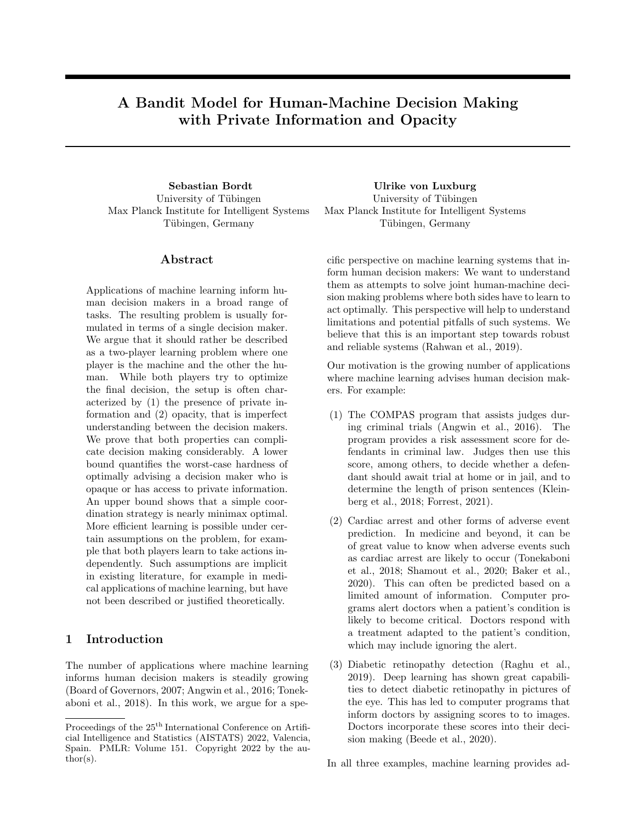#### References

- J. Adebayo, J. Gilmer, M. Muelly, I. Goodfellow, M. Hardt, and B. Kim. Sanity checks for saliency maps. In Advances in Neural Information Processing Systems, 2018.
- S. Amani, M. Alizadeh, and C. Thrampoulidis. Linear stochastic bandits under safety constraints. Advances in Neural Information Processing Systems, 2019.
- J. D. Angrist and J.-S. Pischke. Mostly harmless econometrics. Princeton University Press, 2008.
- J. Angwin, J. Larson, S. Mattu, and L. Kirchner. Machine bias. ProPublica. See https://www. propublica. org/article/machine-bias-risk-assessments-incriminal-sentencing, 2016.
- J.-Y. Audibert and S. Bubeck. Regret bounds and minimax policies under partial monitoring. The Journal of Machine Learning Research, 2010.
- P. Auer, N. Cesa-Bianchi, Y. Freund, and R. E. Schapire. The nonstochastic multiarmed bandit problem. SIAM Journal on Computing, 2002.
- O. Avner and S. Mannor. Multi-user lax communications: a multi-armed bandit approach. In IEEE International Conference on Computer Communications, 2016.
- S. Baker, W. Xiang, and I. Atkinson. Continuous and automatic mortality risk prediction using vital signs in the intensive care unit: a hybrid neural network approach. Scienti c Reports, 2020.
- S. Barocas, M. Hardt, and A. Narayanan. Fairness and Machine Learning. fairmlbook.org, 2019. http://www.fairmlbook.org.
- E. Beede, E. Baylor, F. Hersch, A. Iurchenko, L. Wilcox, P. Ruamviboonsuk, and L. M. Vardoulakis. A human-centered evaluation of a deep learning system deployed in clinics for the detection of diabetic retinopathy. In CHI Conference on Human Factors in Computing Systems, 2020.
- A. Beygelzimer, J. Langford, L. Li, L. Reyzin, and R. E. Schapire. Contextual bandit algorithms with supervised learning guarantees. In International Conference on Arti cial Intelligence and Statistics, 2010.
- Board of Governors. Report to the Congress on Credit Scoring and its  $E$  ects on the Availability and Affordability of Credit. Board of Governors of the US Federal Reserve System, 2007.
- E. Boursier and V. Perchet. SIC-MMAB: synchronisation involves communication in multiplayer multiarmed bandits. In Advances in Neural Information Processing Systems, 2019.
- S. Bubeck, Y. Li, Y. Peres, and M. Sellke. Nonstochastic multi-player multi-armed bandits: Optimal rate with collision information, sublinear without. In Conference on Learning Theory, 2020.
- M. Carroll, R. Shah, M. K. Ho, T. Griffiths, S. Seshia, P. Abbeel, and A. Dragan. On the Utility of Learning about Humans for Human-AI Coordination. In Advances in Neural Information Processing Systems, 2019.
- N. Cesa-Bianchi and G. Lugosi. Prediction, Learning, and Games. Cambridge University Press, 2006.
- A. De, P. Koley, N. Ganguly, and M. Gomez-Rodriguez. Regression under human assistance. In AAAI, 2020a.
- A. De, N. Okati, A. Zarezade, and M. Gomez-Rodriguez. Classification under human assistance. arXiv preprint arXiv:2006.11845, 2020b.
- M. De-Arteaga, R. Fogliato, and A. Chouldechova. A case for humans-in-the-loop: Decisions in the presence of erroneous algorithmic scores. In CHI Conference on Human Factors in Computing Systems, 2020.
- B. J. Dietvorst, J. P. Simmons, and C. Massey. Algorithm aversion: People erroneously avoid algorithms after seeing them err. Journal of Experimental Psychology: General, 2015.
- K. B. Forrest. When Machines Can Be Judge, Jury, and Executioner: Justice in the Age of Arti cial Intelligence. World Scientific, 2021.
- A. M. Froomkin, I. Kerr, and J. Pineau. When AIs outperform doctors: confronting the challenges of a tort-induced over-reliance on machine learning. Ariz. L. Rev., 61:33, 2019.
- G. Gigerenzer and S. Kurzenhaeuser. Fast and frugal heuristics in medical decision making. In Science and medicine in dialogue: Thinking through particulars and universals. Praeger Westport, CT, 2005.
- A. Goldenberg and B. Engelhardt. Machine learning for computational biology and health. Tutorial at Advances in Neural Information Processing Systems Conference, 2019.
- M. Goodrich and A. Schultz. Human-robot interaction: A survey. Foundations and Trends in Human-Computer Interaction, 2007.
- B. Green and Y. Chen. The principles and limits of algorithm-in-the-loop decision making. Proceedings of the ACM on Human-Computer Interaction, 2019.
- T. Grote and P. Berens. On the ethics of algorithmic decision-making in healthcare. Journal of Medical Ethics, 2020.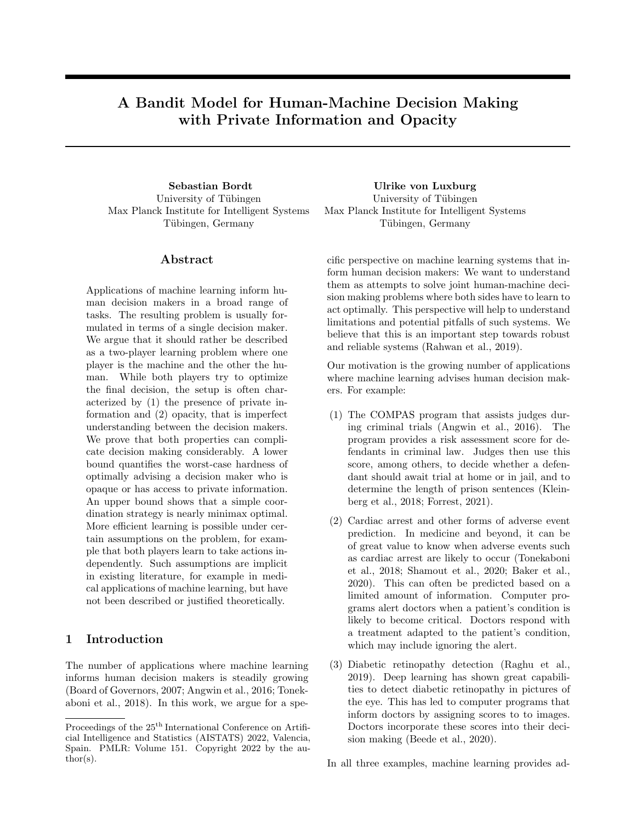- S. Hilgard, N. Rosenfeld, M. R. Banaji, J. Cao, and D. C. Parkes. Learning representations by humans, for humans. arXiv preprint arXiv:1905.12686, 2019.
- A. Ilyas, S. Santurkar, D. Tsipras, L. Engstrom, B. Tran, and A. Madry. Adversarial examples are not bugs, they are features. In Advances in Neural Information Processing Systems, 2019.
- D. Kahneman and S. Frederick. A model of heuristic judgment. Cambridge University Press, 2005.
- D. Kalathil, N. Nayyar, and R. Jain. Decentralized learning for multiplayer multiarmed bandits. IEEE Transactions on Information Theory, 2014.
- J. Kleinberg, H. Lakkaraju, J. Leskovec, J. Ludwig, and S. Mullainathan. Human decisions and machine predictions. The Quarterly Journal of Economics, 2018.
- J. Kleinberg, J. Ludwig, S. Mullainathan, and C. R. Sunstein. Discrimination in the Age of Algorithms. Journal of Legal Analysis, 10:113–174, 04 2019.
- P. Lakhani and B. Sundaram. Deep learning at chest radiography: Automated classification of pulmonary tuberculosis by using convolutional neural networks. Radiology, 2017.
- H. Lakkaraju, J. Kleinberg, J. Leskovec, J. Ludwig, and S. Mullainathan. The selective labels problem: Evaluating algorithmic predictions in the presence of unobservables. In ACM SIGKDD International Conference on Knowledge Discovery and Data Mining, 2017.
- T. Lattimore and C. Szepesvari. Bandit Algorithms. Cambridge University Press, 2019.
- S. Leonelli. Scientific research and big data. In E. N. Zalta, editor, The Stanford Encyclopedia of Philosophy. Metaphysics Research Lab, Stanford University, Summer 2020 edition, 2020.
- Y. Liu, A. Swaminathan, A. Agarwal, and E. Brunskill. Provably good batch reinforcement learning without great exploration. arXiv preprint arXiv:2007.08202, 2020.
- A. Lucic, H. Haned, and M. de Rijke. Why does my model fail? Contrastive local explanations for retail forecasting. In ACM Conference on Fairness, Accountability, and Transparency, 2020.
- D. Madras, T. Pitassi, and R. S. Zemel. Predict responsibly: Improving fairness and accuracy by learning to defer. In Advances in Neural Information Processing Systems, 2018.
- T. Makino, S. Jastrzebski, W. Oleszkiewicz, C. Chacko, R. Ehrenpreis, N. Samreen, C. Chhor, E. Kim, J. Lee, K. Pysarenko, et al. Differences between human and machine perception in medical diagnosis. arXiv preprint arXiv:2011.14036, 2020.
- D. Martínez-Rubio, V. Kanade, and P. Rebeschini. Decentralized cooperative stochastic bandits. In Advances in Neural Information Processing Systems, 2019.
- A. Mas-Colell, M. D. Whinston, J. R. Green, et al. Microeconomic theory. Oxford University Press, New York, 1995.
- H. Mozannar and D. Sontag. Consistent estimators for learning to defer to an expert. arXiv preprint arXiv:2006.01862, 2020.
- G. Neu. Explore no more: Improved high-probability regret bounds for non-stochastic bandits. In Advances in Neural Information Processing Systems, 2015.
- R. Parasuraman, T. B. Sheridan, and C. D. Wickens. A model for types and levels of human interaction with automation. IEEE Transactions on systems, man, and cybernetics-Part A: Systems and Humans, 2000.
- B. N. Patel, L. Rosenberg, G. Willcox, D. Baltaxe, M. Lyons, J. Irvin, P. Rajpurkar, T. Amrhein, R. Gupta, S. Halabi, C. Langlotz, E. Lo, J. Mammarappallil, A. J. Mariano, G. Riley, J. Seekins, L. Shen, E. Zucker, and M. P. Lungren. Human– machine partnership with artificial intelligence for chest radiograph diagnosis. npj Digital Medicine, 2019.
- M. F. Pradier, J. Zazo, S. Parbhoo, R. H. Perlis, M. Zazzi, and F. Doshi-Velez. Preferential mixtureof-experts: Interpretable models that rely on human expertise as much as possible. *arXiv preprint* arXiv:2101.05360, 2021.
- M. Raghu, K. Blumer, G. Corrado, J. Kleinberg, Z. Obermeyer, and S. Mullainathan. The algorithmic automation problem: Prediction, triage, and human effort. arXiv preprint arXiv:1903.12220, 2019.
- I. Rahwan, M. Cebrian, N. Obradovich, J. Bongard, J.-F. Bonnefon, C. Breazeal, J. W. Crandall, N. A. Christakis, I. D. Couzin, M. O. Jackson, et al. Machine behaviour. Nature, 2019.
- J. S. Rakoff. Sentenced by algorithm. The New York Review of Books, 2021.
- C. Rudin. Stop explaining black box machine learning models for high stakes decisions and use interpretable models instead. Nature Machine Intelligence, 2019.
- A. Sankararaman, S. Basu, and K. A. Sankararaman. Dominate or delete: Decentralized competing bandits in serial dictatorship. In International Conference on Arti cial Intelligence and Statistics, 2021.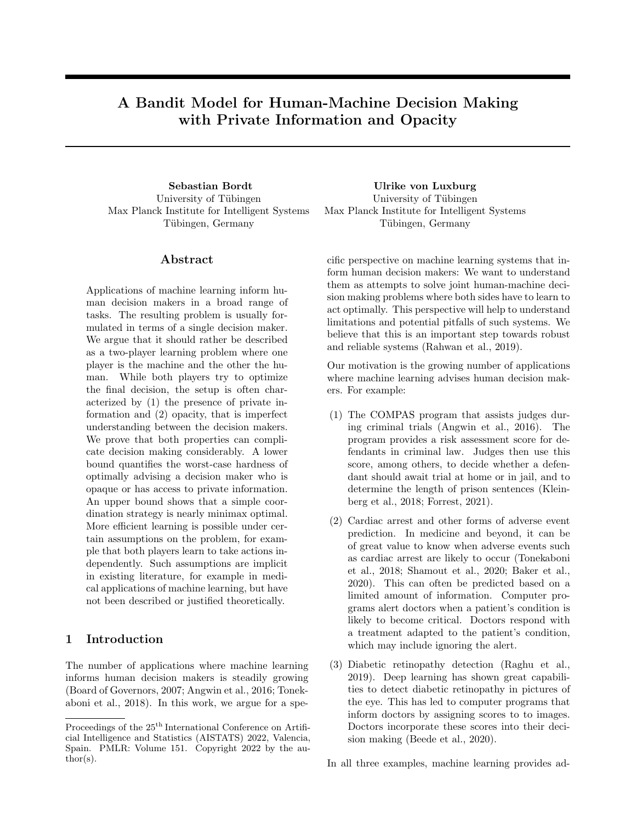- R. Sayres, A. Taly, E. Rahimy, K. Blumer, D. Coz, N. Hammel, J. Krause, A. Narayanaswamy, Z. Rastegar, D. Wu, et al. Using a deep learning algorithm and integrated gradients explanation to assist grading for diabetic retinopathy. Ophthalmology, 2019.
- Y. Seldin and G. Lugosi. A lower bound for multiarmed bandits with expert advice. In 13th European Workshop on Reinforcement Learning (EWRL), 2016.
- R. Selten. Bounded rationality. Journal of Institutional and Theoretical Economics, 1990.
- R. R. Selvaraju, M. Cogswell, A. Das, R. Vedantam, D. Parikh, and D. Batra. Grad-cam: Visual explanations from deep networks via gradient-based localization. In International Conference on Computer Vision, 2017.
- F. E. Shamout, T. Zhu, P. Sharma, P. J. Watkinson, and D. A. Clifton. Deep interpretable early warning system for the detection of clinical deterioration. IEEE Journal of Biomedical and Health Informatics, 2020.
- T. B. Sheridan and W. L. Verplank. Human and computer controlof undersea teleoperators. Technical report, MIT Man-Machine Systems Laboratory, Cambridge, MA, 1978.
- K. Simonyan, A. Vedaldi, and A. Zisserman. Deep inside convolutional networks: Visualising image classification models and saliency maps. In ICLR Workshop, 2014.
- S. Tonekaboni, M. Mazwi, P. Laussen, D. Eytan, R. Greer, S. D. Goodfellow, A. Goodwin, M. Brudno, and A. Goldenberg. Prediction of Cardiac Arrest from Physiological Signals in the Pediatric ICU. In Machine Learning for Healthcare Conference, 2018.
- S. Tonekaboni, S. Joshi, M. D. McCradden, and A. Goldenberg. What clinicians want: Contextualizing explainable machine learning for clinical end use. arXiv preprint arXiv:1905.05134, 2019.
- P. Tschandl, C. Rinner, Z. Apalla, G. Argenziano, N. Codella, A. Halpern, M. Janda, A. Lallas, C. Longo, J. Malvehy, et al. Human–computer collaboration for skin cancer recognition. Nature Medicine, 2020.
- J. Von Neumann and O. Morgenstern. Theory of games and economic behavior. Princeton University Press, 2007.
- B. Wilder, E. Horvitz, and E. Kamar. Learning to complement humans. arXiv preprint arXiv:2005.00582, 2020.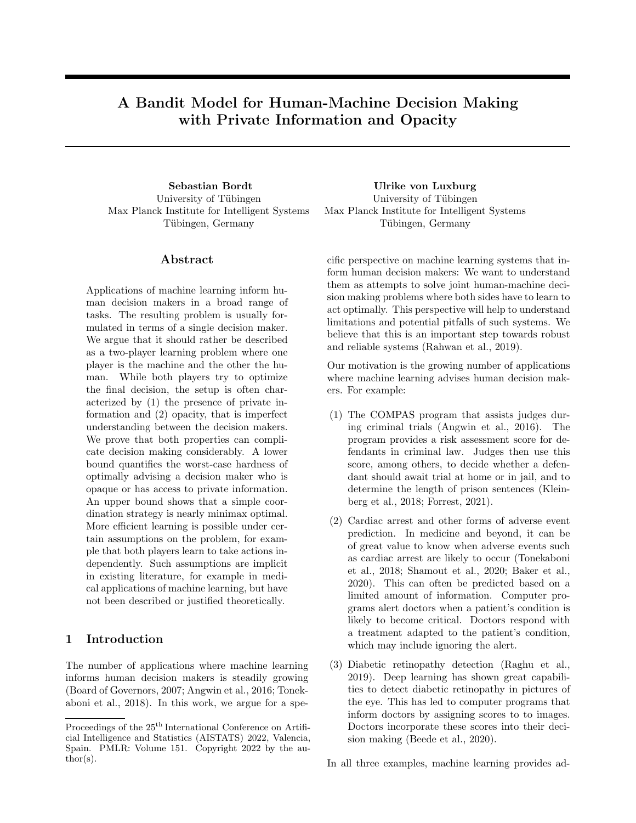# Supplementary Material: A Bandit Model for Human-Machine Decision Making with Private Information and Opacity

### A Proofs of theorems in the main paper

#### A.1 Additional definitions

Let  $H_{1,t} \in (\mathcal{X} \times \mathcal{R} \times A \times [0,1])^t$  and  $H_{2,t} \in (\mathcal{R} \times \mathcal{Z} \times A \times [0,1])^t$  be the histories of Player 1 and Player 2, respectively. Let  $\mathcal{D}(X)$  denote the space of probability distributions over a space X, and  $\mathcal{F}(X)$  the set of all finite subsets of X. An algorithm A is a pair  $A = (A_1, A_2)$  of two collections of measurable functions  $A_1 = (A_{1,t})_{t=1}^T$  and  $A_2 =$  $(A_{2,t})_{t=1}^T$ . For  $t=1$ , we have  $A_{1,1} : \mathcal{F}(\mathcal{R}^{\times}) \times \mathcal{X} \to \mathcal{D}(\mathcal{R})$  and  $A_{2,1} : \mathcal{F}(\mathcal{A}^{\mathcal{R}-\mathcal{Z}}) \times \mathcal{R} \times \mathcal{Z} \to \mathcal{D}(\mathcal{A})$ . For  $t=2,\ldots,T$ , we have  $A_{1,t} : \mathcal{F}(\mathcal{R}^{\times}) \times \mathcal{X} \times H_{1,t-1} \to \mathcal{D}(\mathcal{R})$  and  $A_{2,t} : \mathcal{F}(\mathcal{A}^{\mathcal{R}-\mathcal{Z}}) \times \mathcal{R} \times \mathcal{Z} \times H_{2,t-1} \to \mathcal{D}(\mathcal{A})$ . In Section 5, we allow Player 2 to tell Player 1 which policy to use. This means that there is an additional collection of measurable functions  $(A_{3,t})_{t=1}^T$  with  $A_{3,1} : \mathcal{F}(\mathcal{A}^{\mathcal{R}-\mathcal{Z}}) \to \mathcal{D}(\{1,\ldots,N_1\})$  and  $A_{3,t} : \mathcal{F}(\mathcal{A}^{\mathcal{R}-\mathcal{Z}}) \times H_{2,t-1} \to \mathcal{D}(\{1,\ldots,N_1\})$ for  $t = 2, \ldots, T$ . These functions specify the (possibly randomized) policies that Player 2 tells Player 1 to use.  $A_1$  consists of the fixed functions that implement the said policy choices for the first player. Additionally, the history of Player 2 and domain of functions in  $A_2$  contain the policy that Player 1 was told to use.

#### A.2 Proof of Proposition 1

Proof. Without private information and opacity, the two players can perform actions that are equivalent to EXP4 run on the joint policy space Π (the EXP4 Algorithm is reproduced in Supplement Figure 4). Note that without opacity, both players have access to Π. Since  $x_t = z_t$ , they are also able to evaluate  $\pi(x_t, z_t)$  for all  $\pi \in \Pi$ . Hence, a trivial solution would be that the second player ignores the recommendations made by the first player and simply performs EXP4. The result then follows from the standard analysis of EXP4 (Lattimore and Szepesvari, 2019, Theorem 18.1). A solution more in line with the interaction in our model would be that the first player recommends, in each round,  $r_t$  according to  $P(r_t = r) = q_{tr}$  where

$$
q_{tr} = \sum_{i=1}^{N_1} \sum_{j=1}^{N_2} Q_{t,ij} 1_{ff_i(x_t) = rg}.
$$

Here  $Q_t \in \mathbb{R}^{N_1 \times N_2}$  is the matrix maintained by EXP4 as described in Supplement Figure 4. The second player would then choose  $a_t$  according to  $P(a_t = k) = p_{tk}$  with

$$
p_{tk} = \frac{\sum_{i=1}^{N_1} \sum_{j=1}^{N_2} Q_{t,ij} 1_{ff_i(x_t) = r_t \, \gamma g_j(r_t, z_t) = kg}}{q_{t,r_t}},
$$

i.e. there is a policy  $g_t \in \Pi_2$  s.t.  $a_t = g_t(r_t, z_t)$ , while the action is again chosen exactly as in EXP4.  $\Box$ 

#### A.3 Proof of Proposition 2

*Proof.* Both players privately label their policies from  $0, \ldots, N_1 - 1$  and  $0, \ldots, N_2 - 1$ . Before the game starts, both players agree on a deterministic strategy for solving an  $N$ -armed stochastic bandit problem. In round  $t$ , where arm  $0 \le i \le N-1$  is to be pulled in the N-armed stochastic bandit problem, for  $i = a \cdot N_2 + b$  with  $0 \leq b \leq N_2$ , Player 1 plays policy a and Player 2 plays policy b. Since a deterministic strategy determines the next arm to be pulled solely on the basis of past pulled arms and obtained rewards, both players know which of the N arms is to be pulled in each round. Agreeing on MOSS (Minimax Optimal Strategy in the Stochastic or the *I*V arms is to be pulled in each round. Agreeing on MOSS (Minimax Optimal Strategy in the Stochastic case), a variant of UCB, allows the two players to bound the minimax regret by  $25\sqrt{TN}$  (Audibert and Bubeck (2010), Theorem 24). $\Box$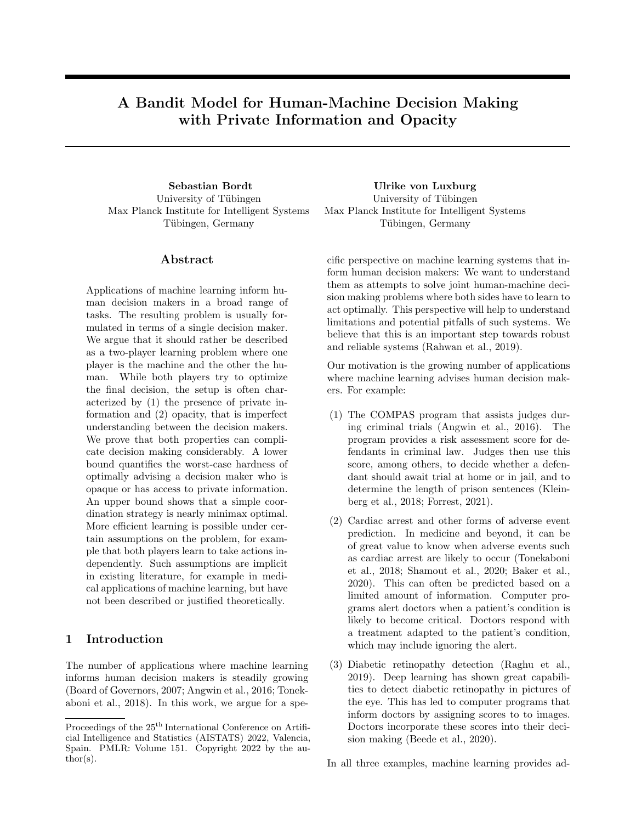### A.4 Proof of Theorem 3

#### A.4.1 Proof with private information

*Proof.* The idea is to construct a decision problem where the first player has to solve an  $N_1$ -armed stochastic Bernoulli bandit. The result then follows from the lower bound for stochastic Bernoulli bandits (e.g. Exercise 15.4 in Lattimore and Szepesvari (2019)). Note that Player 2 has only a single policy, i.e.  $\Pi_2 = \{g\}$ . Thus, the assumption that Player 2 only plays actions that are suggested by policies in  $\Pi_2$  effectively fixes  $A_2$ , the algorithm of the second player.

Let  $(X_{1t},...,X_{N_1,t}) \in \{0,1\}^{N_1}$  be the payoffs associated with an  $N_1$ -armed stochastic Bernoulli bandit in round t. By assumption  $K = 2$ , so  $A = \{1, 2\}$ . Player 1 does not need to receive any context, so let  $\mathcal{X} = \{\emptyset\}$ . Choose  $\mathcal{R} = \{1, \ldots, N_1\}$  and  $\Pi_1 = \{f_i | f_i = i, i = 1, \ldots, N_1\}$ . That is Player 1 has  $N_1$  policies, and policy  $f_i$  constantly suggests recommendation i. In effect, recommendations and policies are really the same, namely the arms of a stochastic bandit. Let  $\mathcal{Z} = \{0,1\}^{N_1}$  and  $\Pi_2 = \{g\}$  with  $g(r, z) = 1 + z_r$ . For simplicity, let the payoff of Action 1 be 0 in all rounds. Conversely, let the payoff Action 2 be 1 in all rounds. Let the context vector  $z_t$  of Player 2 be given by the payoffs associated with the Bernoulli bandit, i.e.  $z_t = (X_{1t}, \ldots, X_{N_1,t}).$ 

In round t, when arm  $i \in \{1, \ldots, N_1\}$  of the Bernoulli bandit has payoff  $X_{it}$ , Player 2 assigns recommendation i to action  $1 + X_{it}$ . This results in a reward of  $X_{it}$ . Thus, in round t, where Player 1 chooses recommendation  $r_t \in \{1,\ldots,N_1\}$ , the observes reward is  $X_{r_t,t}$ . To sum up, in every round, Player 1 incurs the reward of one of the arms of the Bernoulli bandit, and this arm can be freely chosen by choosing the recommendation. Since  $z_t$  is not observed by Player 1, the payoffs of all other arms of the Bernoulli bandit remain unknown. Every algorithm for Player 1 gives rise to an algorithm for stochastic Bernoulli bandits and vice-versa, and we obtain the lower bound.  $\Box$ 

#### A.4.2 Proof with opacity

*Proof.* As above, let  $A = \{1, 2\}$  and  $\mathcal{R} = \{1, \ldots, N_1\}$ . Let  $(X_{1t}, \ldots, X_{N_1,t}) \in \{0, 1\}^{N_1}$  be the payoffs associated with an  $N_1$ -armed stochastic Bernoulli bandit in round t. Now, in every round, both players receive the same context vector  $x \in \{1, ..., M\}$ . The recommendations of policies of Player 1 are as before and independent of the context vector,  $\Pi_1 = \{f_i | f_i = i, i = 1, ..., N_1\}.$ 

The important part is the policy of Player 2, which is based on a function  $\hat{g}: \{1, \ldots, M\} \to \{0, 1\}^{N_1}$ . Instead of obtaining the payoffs of the Bernoulli bandit directly as contextual information, Player 2 now uses the private function  $\hat{g}$  to obtain these payoffs from x. Naturally,  $\hat{g}$  is not known to Player 1. As above, the policy of Player 2 is given by  $g(r, x) = 1 + \hat{g}(x)_r$  and action payoffs are fixed to 0 and 1.

Let the context vector be uniformly distributed over  $\{1, \ldots, M\}$ . We have to make sure that the same context vectors do not appear too often, since otherwise the first player could start to infer the payoffs associated with them. By choosing  $M$  large enough, context vectors up to time  $T$  are unique with probability arbitrarily close to 1.

We still have to specify how to choose  $\hat{g}$  as a function from  $\{1, \ldots, M\}$  to  $\{0, 1\}^{N_1}$ . For  $N_1$  and M fixed, there are only finitely many of these functions. In order to realize a single desired Bernoulli bandit, draw  $\hat{q}$  according to the probability distribution  $\hat{\mathcal{D}}$  given by

$$
P_{\hat{D}}(\hat{g}) = \prod_{i=1}^{M} P((X_{11}, ..., X_{N_1,1}) = \hat{g}(i)).
$$

In other words, for all  $i = 1, ..., M$ , the distribution of  $\hat{g}(i)$  over  $\{0, 1\}^{N_1}$  is exactly that of the Bernoulli bandit.

By the same argument as in the prove with unknown context, if  $\hat{g}$  is drawn according to  $\hat{\mathcal{D}}$ , Player 1 has to solve the Bernoulli bandit given by  $(X_{1t},...,X_{N_1,t})$ . Now recall that the minimax regret is given by

$$
R_T = \inf_{A_1} \sup_{D} \sup_{J\Pi_1 j = N_1} \sup_{J\Pi_2 j = 1} \text{Reg}_T.
$$

In particular,

$$
\sup_{\int \Pi_2 j = 1} \text{Reg}_T \ge \sup_{\hat{D}} \mathbb{E}_{\hat{g}} \left[ \text{Reg}_T \right],
$$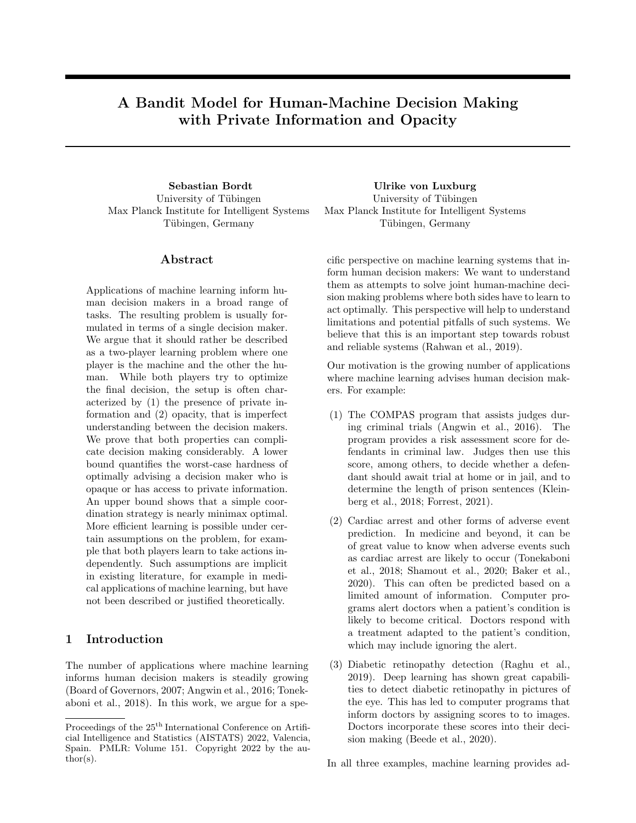EXP4 Parameters:  $\eta > 0, \, \gamma > 0$ **Initialization:** Vector  $Q_1 \supseteq [0,1]^N$  with  $Q_{1i} = \frac{1}{N}$ For each  $t = 1, ..., T$ 1. Receive context  $x_t$ 2. Choose action  $a_t$  according to  $p_{tk} = \sum_{i=1}^{N} Q_{ti} 1_{\{\pi_i(x_t) = k\}}$ . 3. Receive reward  $y_t$  and estimate  $\hat{y}_{tk} = 1 - \frac{1_{\{a_t = k\}}}{p_{tk} + \gamma} (1 - y_t)$ 4. Propagates rewards to experts  $\hat{Y}_{ti} = \hat{y}_{t, \pi_i(x_t)}$ 5. Player 2 updates  $Q_t$  using exponential weighting  $Q_{t+1,i} =$  $\exp\left(\eta\hat{Y}_{ti}\right)Q_{ti}$  $\sum_j \exp\left(\eta \hat{Y}_{tj}\right) Q_{tj}$ 

Figure 4: EXP4. Adapted from Algorithm 11 in Lattimore and Szepesvari (2019).

which shows the lower bound in terms of the minimax expected regret for  $N_1$ -armed stochastic Bernoulli bandits.  $\Box$ 

#### A.5 Proof of Theorem 4

Proof. Recall the EXP4 algorithm, reproduced in Supplement Figure 4. The idea of the proof is as follows. In P2-EXP4, Player 2 maintains a probability distribution over the space of all policy combinations Π and performs importance-weighted updates. Player 2 does not know the policy space and context of Player 1. Therefore, in every round, he only obtains information on policy combinations where  $f_{i_t}$ , the function that the first player actually played, is present. This restricts Player 2 and does not allow him to perform the sames updates as EXP4. However, assume that all policy combinations where  $f_{i_t}$  is not present had suggested different actions than the policy combinations where  $f_{i_t}$  is present. In this case, the updates in P2-EXP4 would be equivalent to the updates of EXP4. Therefore, we now construct a bandit problem where two different policies of Player 1 never suggest the same action, and show that Algorithm 1 is equivalent to EXP4 on this related bandit problem.

Consider the adversarial contextual bandit problem with  $KN_1$  actions and policy space

$$
\tilde{\Pi} = \left\{ h_{i,j} \middle| i = 1, ..., N_1, j = 1, ..., N_2, h_{i,j} : \mathcal{X} \times \mathcal{Z} \to \{1, ..., KN_1\}, h_{i,j}(x, z) = (i - 1)K + g_j(f_i(x), z) \right\}
$$

.

.

This policy space consists of N policies, and there exists a natural bijection I between  $\Pi$  and  $\Pi$  given by  $h_{i,j} \mapsto g_j(f_i(\cdot), \cdot)$ . Let the adversarial payoffs of this new problem be a function of the (adversarial or i.i.d.) payoffs of the original problem, namely

$$
\tilde{x}_t = (x_t, z_t)
$$

and

$$
\tilde{Y}_t(k) = Y_t \Big( 1 + \big( (k-1) \operatorname{mod} K \big) \Big),
$$

for all  $t = 1, \ldots, T$  and  $k = 1, \ldots, KN_1$ . Here  $Y_t \in [0,1]^A$  contains the payoffs of the original problem, and  $\tilde{Y}_t \in [0,1]^{f_1,\ldots,K}$   $N_1g$  the payoffs of the new problem. By construction,

$$
\tilde{Y}_t\left(h_{i,j}(\tilde{x}_t)\right) = Y_t\left(g_j(f_i(x_t), z_t)\right)
$$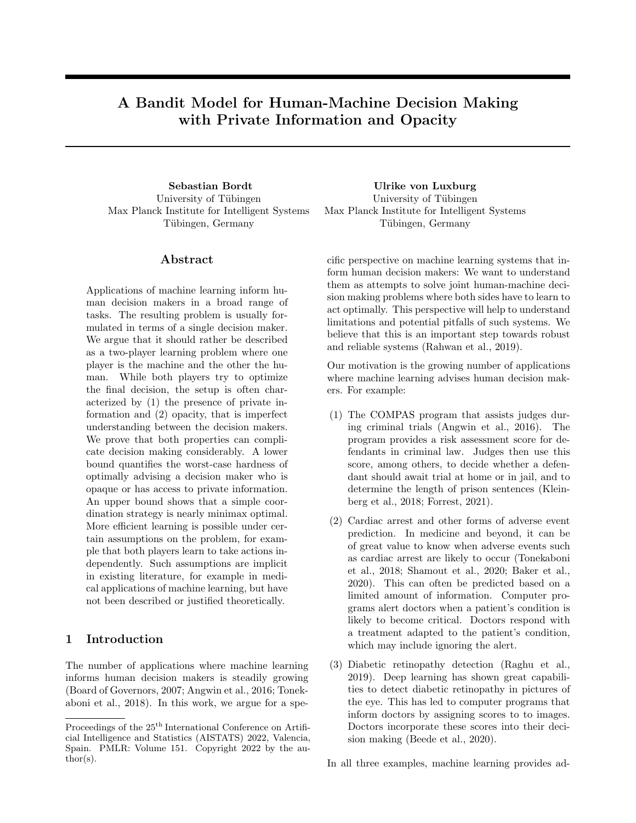Therefore,

$$
\max_{\tilde{\pi}\geq\tilde{\Pi}}\sum_{t=1}^{T}\tilde{Y}_t\left(\tilde{\pi}(\tilde{x}_t)\right) = \max_{\pi\geq\tilde{\Pi}}\sum_{t=1}^{T}Y_t\left(\pi(x_t,z_t)\right). \tag{2}
$$

We are now going to show that P2-EXP4 is equivalent to EXP4(-IX) on this adversarial contextual bandit problem. In this proof, we denote all variables related this problem and EXP4 with a  $\sim$ . For example,  $\tilde{a}_t$  is the action chosen by EXP4 in round t, resulting in a payoff of  $\tilde{y}_t$ . Since both P2-EXP4 and EXP4 are randomized, equivalence means that there exists a coupling of the random variables drawn by both algorithms under which, in all rounds, the probability distribution  $Q_t$  maintained by P2-EXP4 is the probability distribution  $\tilde{Q}_t$  maintained by EXP4 (with respect to bijection I),  $\tilde{a}_t = (i_t - 1)K + a_t$  and  $\tilde{y}_t = y_t$ .

We proceed by induction over t. The induction hypothesis is that equivalence holds up to round t. This is obviously true in the first round since both  $Q_t$  and  $\tilde{Q}_t$  are initialized to be uniform. In round t, EXP4 chooses an action  $\tilde{a}_t \in \{1, \ldots, KN_1\}$ . This action  $\tilde{a}_t$  can be uniquely written as  $\tilde{a}_t = (i_t - 1)K + \hat{a}_t$  for some  $i_t \in \{1, \ldots, N_1\}$ and  $\hat{a}_t \in \{1, \ldots, K\}$ . By construction, it is exactly policies  $h_{i,1}, \ldots, h_{i,N_2}$  that suggest actions

$$
(i-1)K+1,\ldots,iK.
$$

Hence,

$$
P(\hat{i}_t = i) = \sum_{j=1}^{N_2} Q_{t,ij} = P(i_t = i),
$$

where the first equality is due to the induction hypothesis and the second due to the definition of  $q_{ti}$  in P2-EXP4. Since they have the same distribution,  $\hat{i}_t$  and  $i_t$  can be perfectly coupled. Additionally, and already subject to this coupling,

$$
P(\hat{a}_t = k | i_t = i) = \frac{P(\tilde{a}_t = (i-1)K + k)}{P(i_t = i)}
$$

$$
= \frac{\sum_{j=1}^{N_2} Q_{t,ij} 1_{\{h_{i,j}(\tilde{x}_t) = (i-1)K + k\}}}{\sum_{j=1}^{N_2} Q_{t,ij}}
$$

$$
= P(a_t = k | i_t = i)
$$

where we used the definition of  $a_t$  in Equation (1) of the main paper and the fact that

$$
h_{i,j}(\tilde{x}_t) = (i-1)K + k \iff g_j(f_i(x_t), z_t) = k.
$$

Thus, conditional on  $i_t$ ,  $\hat{a}_t$  and  $a_t$  have the same distribution. Therefore,  $\hat{a}_t$  and  $a_t$  can be perfectly coupled, too, and we arrive at  $\tilde{a}_t = (i_t - 1)K + a_t$ . From the definition of  $\tilde{Y}_t$ , it follows that  $\tilde{y}_t = y_t$ .

It remains to show that the update  $Q_t \to Q_{t+1}$  in P2-EXP4 agrees with EXP4. We have to show that  $\hat{Y}_t$  in P2-EXP4 agrees with the importance-weighted reward estimates of EXP4. We distinguish three cases. The first case is  $i = i_t$  and  $g_j(f_i(x_t), z_t) = a_t$ . Here it holds that

$$
\hat{Y}_{t,ij} = 0 + 1 - \frac{1}{q_{t,i_t} p_{t,a_t} + \gamma} (1 - y_t)
$$

$$
= 1 - \frac{1}{\tilde{p}_{tk} + \gamma} (1 - \tilde{y}_t).
$$

The second case is  $i = i_t$  and  $g_j(f_i(x_t), z_t) \neq a_t$ . Here it holds that  $\hat{Y}_{t,ij} = 0 + 1 = 1$ . The third case is  $i \neq i_t$ . Here it holds that  $\hat{Y}_{t,ij} = 1 + 0 = 1$ , too. In all three cases, the update agrees exactly with EXP4.

We have shown that  $\sum_{t=1}^{T} y_t = \sum_{t=1}^{T} \tilde{y}_t$ . Subtracting this from (2), we see that

$$
\max_{\pi \geq 1} \sum_{t=1}^{T} Y_t \left( \pi(x_t, z_t) \right) - \sum_{t=1}^{T} y_t = \max_{\tilde{\pi} \geq \tilde{1}} \sum_{t=1}^{T} \tilde{Y}_t \left( \tilde{\pi}(\tilde{x}_t) \right) - \sum_{t=1}^{T} \tilde{y}_t.
$$
\n(3)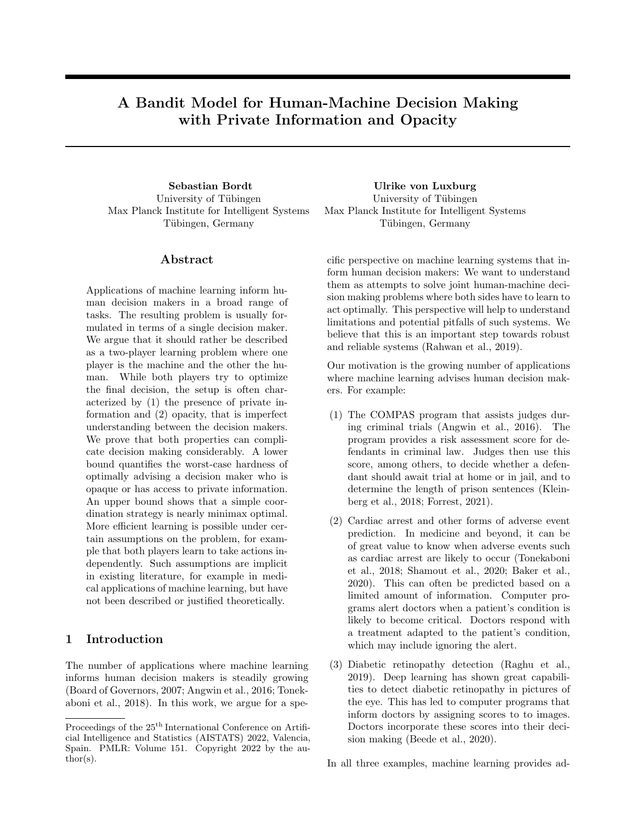From the analysis of EXP4, e.g. from Theorem 18.1 in Lattimore and Szepesvari (2019), we know that

$$
\mathbb{E}\left(\max_{\tilde{\pi}\geq\tilde{\Pi}}\sum_{t=1}^T\tilde{\pi}(\tilde{x}_t)-\sum_{t=1}^T\tilde{y}_t\right)\leq\sqrt{2TKN_1\ln(N_1N_2)}
$$

for  $\gamma = 0$  and  $\eta = \sqrt{2 \log(N_1 N_2)/(T K N_1)}$ , which implies the desired bound.

#### A.6 Proof of Theorem 6

*Proof.* Assume that  $|\mathcal{R}| < \infty$ , otherwise the bound is vacuous. Let  $f_1$  and  $f_2$  be two policies of Player 1. In general, the expected regret under  $f_1$  and  $f_2$  depends on the policy choice of Player 2. Specifically, there might be  $g_1$  and  $g_2$  such that  $Y(g_1(f_1(x), z)) > Y(g_1(f_2(x), z))$  and  $Y(g_2(f_1(x), z)) < Y(g_2(f_2(x), z))$ . Let  $\pi_\star = (g_\star, f_\star)$ be an optimal policy combination. Under policy space independence, the quantities

$$
Reg(f) = Y(g(f_{\star}(x), z)) - Y(g(f(x), z))
$$

and

$$
Reg(g) = Y(g_{\star}(f(x), z)) - Y(g(f(x), z))
$$

are well-defined. Moreover,

 $Y(\pi_{\star}) - Y(g(f(x), z)) = \text{Reg}(g) + \text{Reg}(f).$ 

That both players explore independently using EXP4 means the following. Player 2 uses EXP4 on A with  $\eta_1 = \sqrt{2 \log(N_2)/(TK)}$  and  $\gamma_1 = 0$ . Player 1 considers recommendations as actions and uses EXP4 on R with  $\eta_2 = \sqrt{2 \log(N_1)/(T|\mathcal{R}|)}$  and  $\gamma_2 = 0$ . In round t, there exist policies  $f_{i_t}$  and  $g_{j_t}$  such that  $r_t = f_{i_t}(x_t)$  and  $a_t = g_{j_t}(f_{i_t}(x_t), z_t)$ . Player 1 solves the adversarial contextual bandit problem with context  $x_t$ , action space R and policy space  $\Pi_1$ . Player 2 solves the adversarial contextual bandit problem with context  $(r_t, z_t)$ , action space A and policy space Π2. Player 1 provides adversarial context for Player 2, and Player 2 provides adversarial payoff for Player 1. Because of policy space independence, this independent exploration strategy also controls the joint expected regret.

First note that  $i_t$  and  $j_t$  are functions of the history and can be considered drawn before the tuple  $(x_t, z_t, Y_t)$ . The expected regret in round  $t$  is given by

$$
E_{(x_t,z_t,Y_t)} \big[ Y_t(g_*(f_*(x_t),z_t) - Y_t(g_{j_t}(f_{i_t}(x_t),z_t)) \big] = Y(g_*(f_*(x),z)) - Y(g_{j_t}(f_{i_t}(x),z)).
$$

Making use of policy space independence, the right hand side can be rewritten as  $\sim$ 

$$
Y(g_{\star}(f_{\star}(x), z)) - Y(g_{\star}(f_{i_t}(x), z)) + Y(g_{\star}(f_{i_t}(x), z)) - Y(g_{j_t}(f_{i_t}(x), z))
$$
  
= 
$$
Y(g_{j_t}(f_{\star}(x), z)) - Y(g_{j_t}(f_{i_t}(x), z)) + Y(g_{\star}(f_{i_t}(x), z)) - Y(g_{j_t}(f_{i_t}(x), z)).
$$

 $\sim$ 

 $\sim 10^{-11}$ 

Summing over  $t$ , the expected regret is given by

$$
\operatorname{Reg}_{T} = \sum_{t=1}^{T} \left[ Y(g_{j_t}(f_{\star}(x), z)) - Y(g_{j_t}(f_{i_t}(x), z)) \right] + \sum_{t=1}^{T} \left[ Y(g_{\star}(f_{i_t}(x), z)) - Y(g_{j_t}(f_{i_t}(x), z)) \right].
$$

The first sum is the expected regret in the adversarial contextual bandit problem of the first player. The second sum is the expected regret in the adversarial contextual bandit problem of the second player. From the analysis of EXP4, e.g. from Theorem 18.1 in Lattimore and Szepesvari (2019), we obtain

$$
\sum_{t=1}^{T} \left[ Y(g_{j_t}(f_\star(x), z)) - Y(g_{j_t}(f_{i_t}(x), z)) \right] \leq \sqrt{2T |\mathcal{R}| \ln N_1}
$$

and

$$
\sum_{t=1}^T \left[ Y\big(g_\star(f_{i_t}(x), z)\big) - Y\big(g_{j_t}(f_{i_t}(x), z)\big)\right] \leq \sqrt{2TK \ln N_2},
$$

which implies the desired bound.

 $\Box$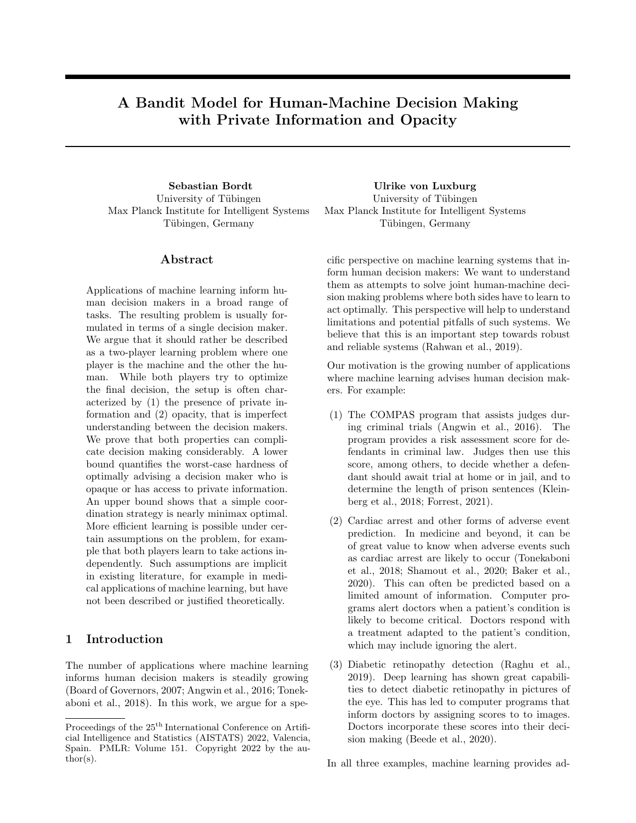### B Fixed rules that allocate decisions result in policy space independence

In this section we formalize the example given in Section 6.2. We show that fixed rules that allocate decisions to either the human or the machine result in policy space independence. Let  $\mathcal{R} = A$  (treatment recommendations),  $D: \mathcal{Z} \mapsto \{0,1\}$  (the human decides who decides),  $\tilde{\Pi}_2: \mathcal{Z} \to A$  (the human's own decision rules) and

$$
\Pi_2 = \{g|g = D(z)\tilde{g}(z) + (1 - D(z))r, \, \tilde{g} \in \tilde{\Pi}_2\}.
$$

Here  $r = f(x)$  where  $f \in \Pi_1$  is the decision rule used by the machine. Now, for all  $f \in \Pi_1$  and  $g \in \Pi_2$ , and all distributions D,

$$
Y(g(f(x), z)) = E_{(x,y,z)} D[Y(g(f(x), z))]
$$
  
= P(D(z) = 0)E[Y(g(f(x), z))|D(z) = 0]  
+ P(D(z) = 1)E[Y(g(f(x), z))|D(z) = 1]  
= P(D(z) = 0)E[Y(f(x))|D(z) = 0] + P(D(z) = 1)E[Y(\tilde{g}(z))|D(z) = 1].

Thus,

$$
Y(g_1(f_1(x), z)) - Y(g_1(f_2(x), z)) = P(D(z) = 0)E[Y(f_1(x)) - Y(f_2(x))|D(z) = 0]
$$
  
= 
$$
Y(g_2(f_1(x), z)) - Y(g_2(f_2(x), z))
$$

for all  $f_1, f_2 \in \Pi_1, g_1, g_2 \in \Pi_2$  and all distributions  $\mathcal{D}$ . In the key step of the derivation, we did not use the fact that  $D$  was a (measurable) function of  $Z$ . Indeed, the sample space can be partitioned with respect to any event D.

### C Fixed second player in Theorem 3

In Theorem 3, we assumed that Player 2 only plays actions that are suggested by policies in  $\Pi_2$ . We are convinced that this assumption can be dropped if the problem instances in the respective proofs are modified in the following two ways.

First, in every round, the relation between policies and recommendations should be entirely random. Concretely, let the policies of Player 1 depend on a context vector  $x \in \{1, \ldots, M\}$ . In every round, let  $x_t$  be uniform on  $\{1, \ldots, M\}$ . Moreover, choose M large enough such that every context vector occurs at most once up to time T. For every  $x \in \{1, ..., M\}$ , randomly draw a permutation  $\pi_x \in S_{N_1}$ . Choose the policy space of the first player such that given context  $x_t$ , policy  $f_i$  recommends  $\pi_{x_t}(i)$ . In effect, up to time T, the policies of Player 1 make random recommendations, subject to the constraint that all recommendations be different.

Second, in every round, it should be entirely random which action gives the payoff of 1. Thus, for every  $x \in \{1, \ldots, M\}$ , randomly drawn one action to give a payoff of 1, and set the payoff of the other action to 0.

In the first proof of Theorem 3 (unknown context), permute the context vector z of Player 2 so that every policy still gets the same payoff as it would in the original construction (considering both  $\pi_x$  and the permuted payoffs). In the second proof of Theorem 3 (unknown policy), let the policy of Player 2 encode the appropriately permuted context vector.

Intuitively, if Player 2 knew which policies suggested which recommendations, Player 2 could effectively learn for Player 1. This is since Player 2 does always know the relation between recommendations and actions. In the given problem instance, the relation between policies and recommendations is impossible to know, at least up to time T.

### D Problem instance for Conjecture 7

In this section we give a problem instance for Conjecture 7. We conjecture that it is a worst-case instance for which the lower bound stated in Conjecture 7 holds.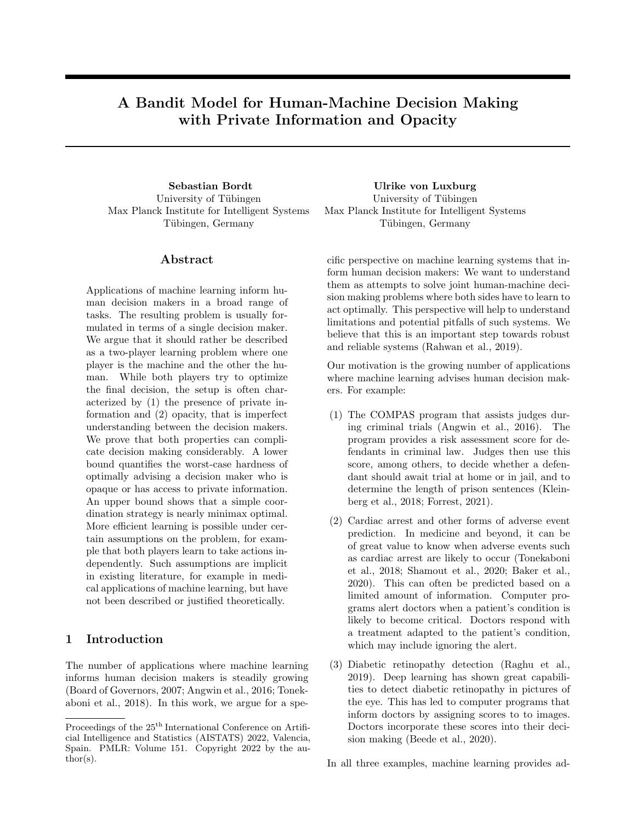In every round, let one action give a payoff of 0 and the other a payoff of 1. Randomly decide in every round which action gives the payoff of 1. Choose the context vector and policy class of Player 1 such that he uniformly receives one of the  $2^{N_1}$  possible expert recommendations in every round. Ahead of time, select a policy of Player 1 and Player 2, respectively (the optimal policies). In every round, a policy for Player 2 gives a map  $\mathcal{R} \to A$ . With  $\mathcal{R} = A = \{0, 1\}$ , there are 4 possible maps that we denote by  $(0, 0)$ ,  $(1, 0)$ ,  $(0, 1)$  and  $(1, 1)$ . Here  $(1, 0)$  is the map that maps recommendation 0 to Action 1 and recommendation 1 to action 0. For the optimal policy of Player 2, let the relation between recommendations and actions be such that every policy of Player 1 except the optimal policy receives an expected payoff of 0.5, and the optimal policy receives an expected payoff of  $0.5 + \Delta$ . This can be achieved as follows. In round t, where the optimal policy recommends  $r_t$ , map recommendation  $r_t$ to the action with a payoff of 1 with probability  $0.5 + \Delta$ . Similarly, map recommendation  $1 - r_t$  to the action with a payoff of 1 with probability  $0.5 - \Delta$ . Note that since context vectors of Player 1 are drawn uniformly at random, each policy makes the same recommendation as the optimal policy exactly half of the time. For all other policies of Player 2, draw one of the 4 possible maps from recommendations to actions according to

$$
P((0,0)) = 0.25 - \Delta^2
$$
,  $P((1,0)) = 0.25 + \Delta^2$   
\n $P((0,1)) = 0.25 + \Delta^2$ ,  $P((1,1)) = 0.25 - \Delta^2$ .

This distribution is chosen such that all other policies have the same marginal distribution over the maps from recommendations to actions as the optimal policy.

Let us quickly outline why we think that this is a difficult problem instance. Imagine that in every round, both players choose a policy according to some decision rule. If both players choose their optimal policy, the expected payoff is  $0.5+\Delta$ . Should any of the two players not choose their optimal policy, the expected payoff is 0.5 (for all policy choices of the other player, also the optimal policy). Now consider what happens in the first round of the game. Assume that both players choose a policy uniformly at random (uniformly choosing recommendations, maps or actions does not reveal any information at all). Then, the expected payoff of the optimal policies of both players is  $0.5+\frac{\Delta}{N_1}$ . Thus, at least in the first round, the magnitude of the signal is  $\frac{\Delta}{N_1}$ , while the magnitude of the regret is  $\Delta$ . While the magnitude of the signal increases as the other player starts to identify the optimal policy, this strongly suggests that the regret does not scale logarithmically in  $N_1$ .

### E Online learning and repeated supervised learning

In this section we give some more detail on why online learning is the correct approach to study human-machine decision making. Indeed, full online learning, as studied in our paper, is the most general and unrestricted way to understand how decisions evolve over time. This is despite the fact that machine learning algorithms are often not deployed in an online fashion. One reason for the latter is that online learning entails exploration which usually requires informed consent of the individuals who are impacted by the decisions.

In practice, machine learning algorithms are usually trained on a historical dataset. In a human-machine decision making context, one would then evaluate how well humans perform with the trained algorithm, or a given number of trained algorithms. This might include some form of training for human decision makers plus a randomized controlled trial. If one finds that a given system performs sufficiently well, it might be deployed . Although this procedure is not an explicit online learning procedure, it is subject to the same limitations as online learning, at least insofar as coordination between the two decision makers is concerned. Viewed through the lens of our model, it could be interpreted as follows. First, the human makes a number of decisions, ignoring the machine (this produces the historical dataset). Second, the machine decides on a number of candidate policies (this is the supervised learning part). Third, the human tries to learn how to interpret the candidate policies of the machine (as in Section 5). A slightly different interpretation would be to consider the result of supervised learning as the initial policy space of the machine. More generally, *full online learning is the theoretical limit* of all sorts of procedures that iterate between machine learning on a given dataset, evaluating how well something works with humans in a real-world setting, collecting a bigger dataset, retraining our model in order to improve performance, evaluating again with humans, and so on. Importantly, online learning covers the scenario where we continuously collect data as a given system is running and then re-train it, say, once a year. In fact, full online learning places as few constraints on learning as possible. For example, re-training a system only at fixed intervals introduces an additional constraint often referred to as batching.